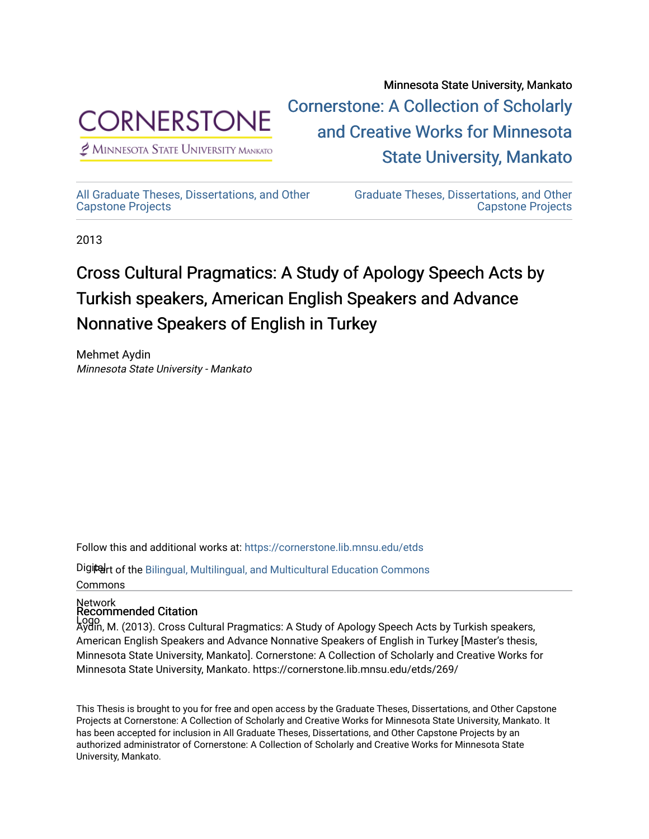

 $<sup>2</sup>$  Minnesota State University Mankato</sup>

Minnesota State University, Mankato [Cornerstone: A Collection of Scholarly](https://cornerstone.lib.mnsu.edu/)  [and Creative Works for Minnesota](https://cornerstone.lib.mnsu.edu/)  [State University, Mankato](https://cornerstone.lib.mnsu.edu/) 

[All Graduate Theses, Dissertations, and Other](https://cornerstone.lib.mnsu.edu/etds)  [Capstone Projects](https://cornerstone.lib.mnsu.edu/etds) 

[Graduate Theses, Dissertations, and Other](https://cornerstone.lib.mnsu.edu/theses_dissertations-capstone)  [Capstone Projects](https://cornerstone.lib.mnsu.edu/theses_dissertations-capstone) 

2013

# Cross Cultural Pragmatics: A Study of Apology Speech Acts by Turkish speakers, American English Speakers and Advance Nonnative Speakers of English in Turkey

Mehmet Aydin Minnesota State University - Mankato

Follow this and additional works at: [https://cornerstone.lib.mnsu.edu/etds](https://cornerstone.lib.mnsu.edu/etds?utm_source=cornerstone.lib.mnsu.edu%2Fetds%2F269&utm_medium=PDF&utm_campaign=PDFCoverPages) 

Digiter of the Bilingual, Multilingual, and Multicultural Education Commons Commons

## Network Recommended Citation

Logo Aydin, M. (2013). Cross Cultural Pragmatics: A Study of Apology Speech Acts by Turkish speakers, American English Speakers and Advance Nonnative Speakers of English in Turkey [Master's thesis, Minnesota State University, Mankato]. Cornerstone: A Collection of Scholarly and Creative Works for Minnesota State University, Mankato. https://cornerstone.lib.mnsu.edu/etds/269/

This Thesis is brought to you for free and open access by the Graduate Theses, Dissertations, and Other Capstone Projects at Cornerstone: A Collection of Scholarly and Creative Works for Minnesota State University, Mankato. It has been accepted for inclusion in All Graduate Theses, Dissertations, and Other Capstone Projects by an authorized administrator of Cornerstone: A Collection of Scholarly and Creative Works for Minnesota State University, Mankato.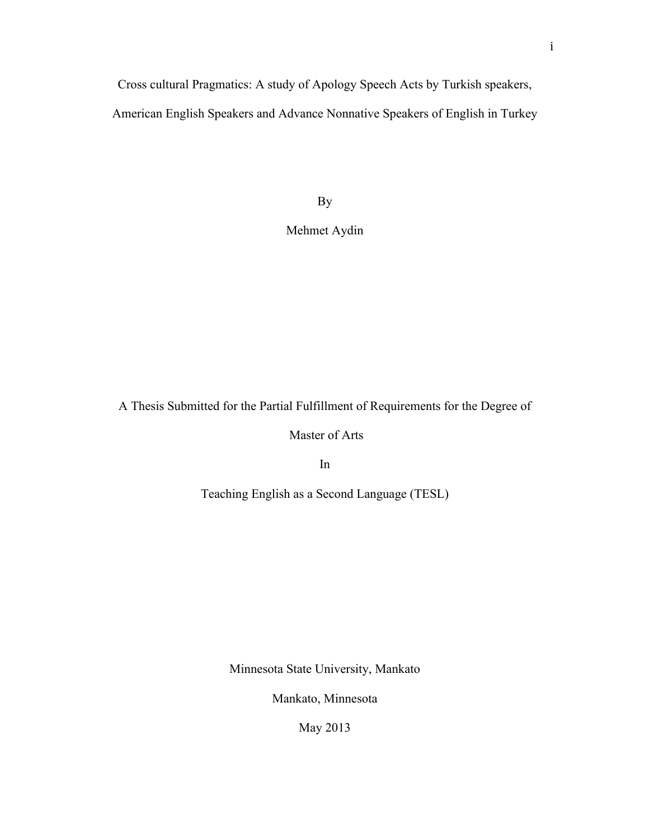Cross cultural Pragmatics: A study of Apology Speech Acts by Turkish speakers,

American English Speakers and Advance Nonnative Speakers of English in Turkey

By

### Mehmet Aydin

A Thesis Submitted for the Partial Fulfillment of Requirements for the Degree of

Master of Arts

In

Teaching English as a Second Language (TESL)

Minnesota State University, Mankato

Mankato, Minnesota

May 2013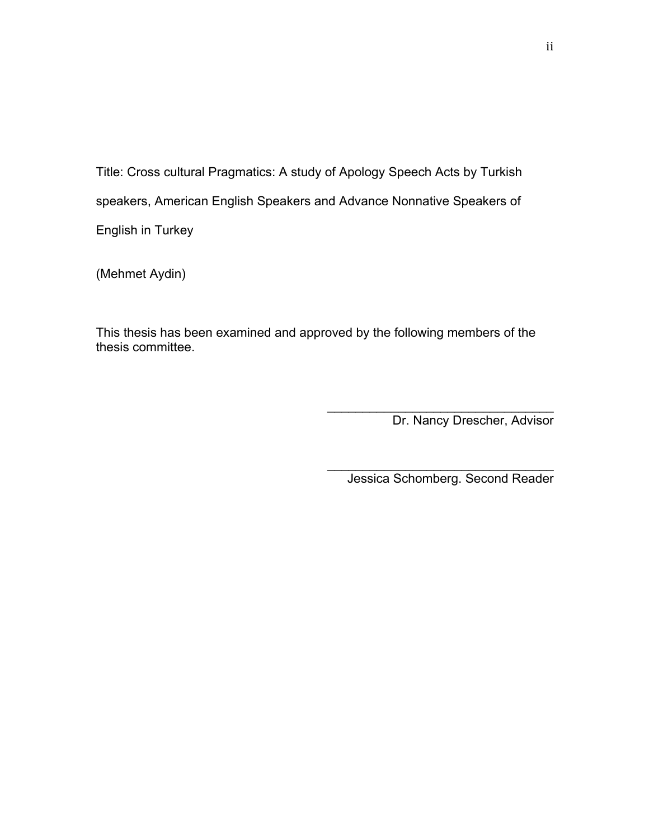Title: Cross cultural Pragmatics: A study of Apology Speech Acts by Turkish speakers, American English Speakers and Advance Nonnative Speakers of English in Turkey

(Mehmet Aydin)

This thesis has been examined and approved by the following members of the thesis committee.

Dr. Nancy Drescher, Advisor

Jessica Schomberg. Second Reader

 $\mathcal{L}_\text{max}$  and  $\mathcal{L}_\text{max}$  and  $\mathcal{L}_\text{max}$  and  $\mathcal{L}_\text{max}$ 

 $\mathcal{L}_\text{max}$  and  $\mathcal{L}_\text{max}$  and  $\mathcal{L}_\text{max}$  and  $\mathcal{L}_\text{max}$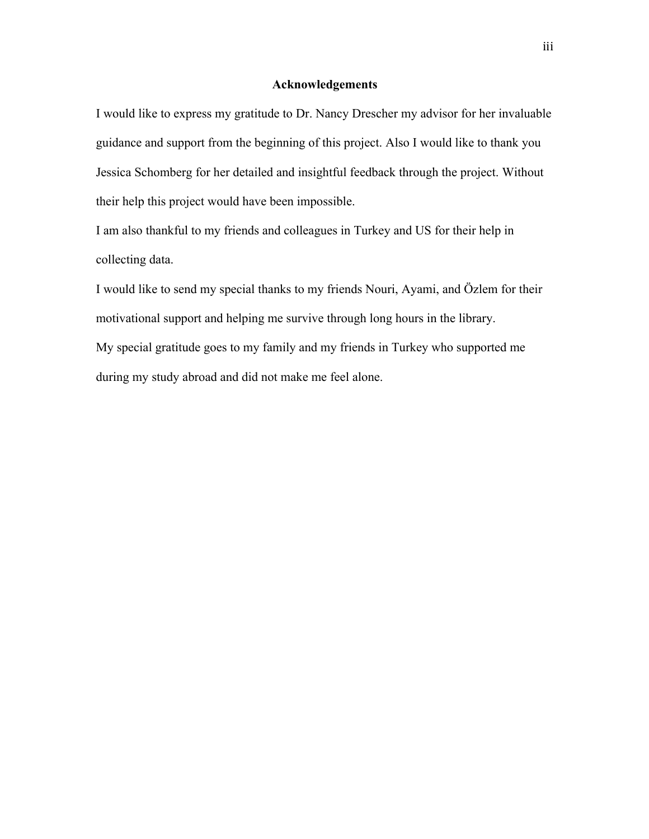#### **Acknowledgements**

I would like to express my gratitude to Dr. Nancy Drescher my advisor for her invaluable guidance and support from the beginning of this project. Also I would like to thank you Jessica Schomberg for her detailed and insightful feedback through the project. Without their help this project would have been impossible.

I am also thankful to my friends and colleagues in Turkey and US for their help in collecting data.

I would like to send my special thanks to my friends Nouri, Ayami, and Özlem for their motivational support and helping me survive through long hours in the library. My special gratitude goes to my family and my friends in Turkey who supported me during my study abroad and did not make me feel alone.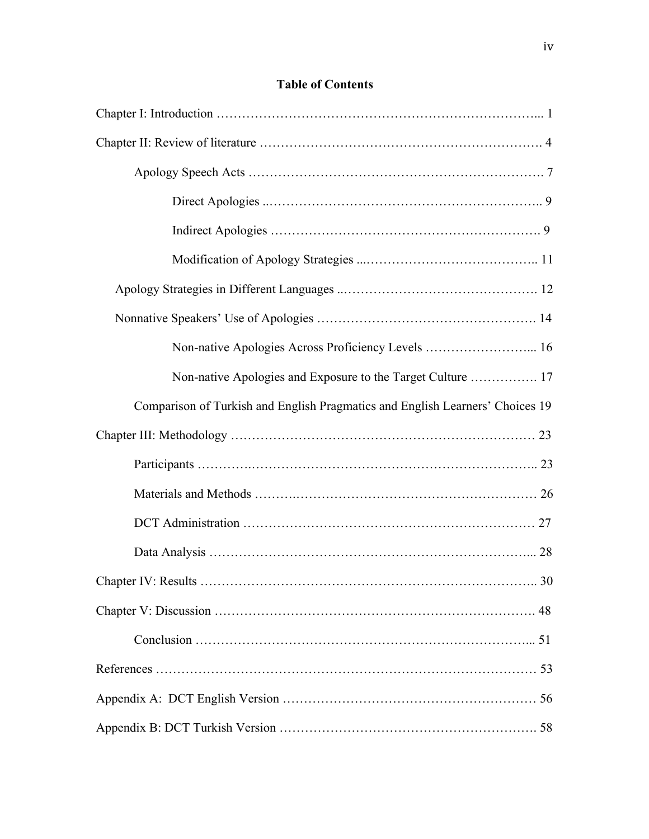## **Table of Contents**

| Non-native Apologies Across Proficiency Levels  16                            |
|-------------------------------------------------------------------------------|
| Non-native Apologies and Exposure to the Target Culture  17                   |
| Comparison of Turkish and English Pragmatics and English Learners' Choices 19 |
|                                                                               |
|                                                                               |
|                                                                               |
|                                                                               |
|                                                                               |
|                                                                               |
|                                                                               |
|                                                                               |
|                                                                               |
|                                                                               |
|                                                                               |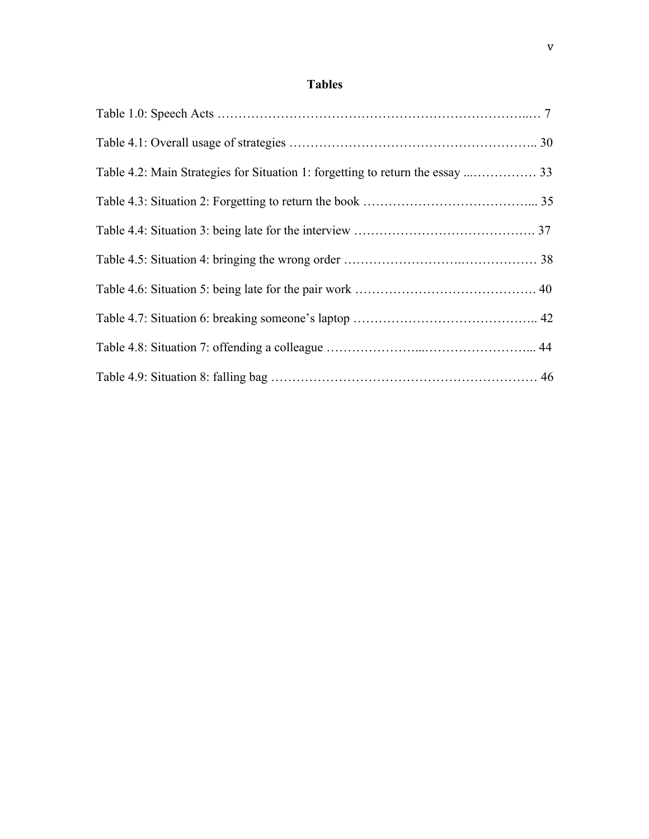## **Tables**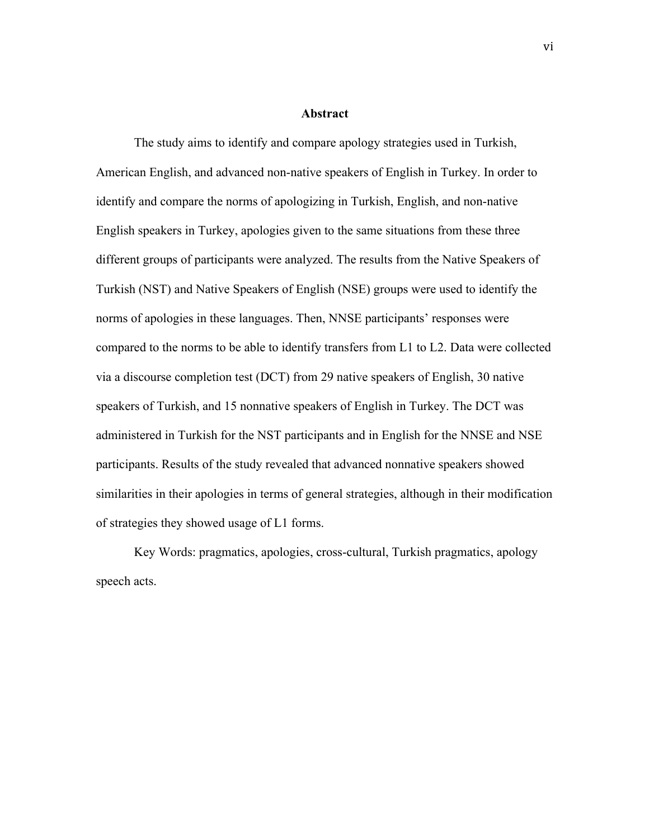#### **Abstract**

The study aims to identify and compare apology strategies used in Turkish, American English, and advanced non-native speakers of English in Turkey. In order to identify and compare the norms of apologizing in Turkish, English, and non-native English speakers in Turkey, apologies given to the same situations from these three different groups of participants were analyzed. The results from the Native Speakers of Turkish (NST) and Native Speakers of English (NSE) groups were used to identify the norms of apologies in these languages. Then, NNSE participants' responses were compared to the norms to be able to identify transfers from L1 to L2. Data were collected via a discourse completion test (DCT) from 29 native speakers of English, 30 native speakers of Turkish, and 15 nonnative speakers of English in Turkey. The DCT was administered in Turkish for the NST participants and in English for the NNSE and NSE participants. Results of the study revealed that advanced nonnative speakers showed similarities in their apologies in terms of general strategies, although in their modification of strategies they showed usage of L1 forms.

Key Words: pragmatics, apologies, cross-cultural, Turkish pragmatics, apology speech acts.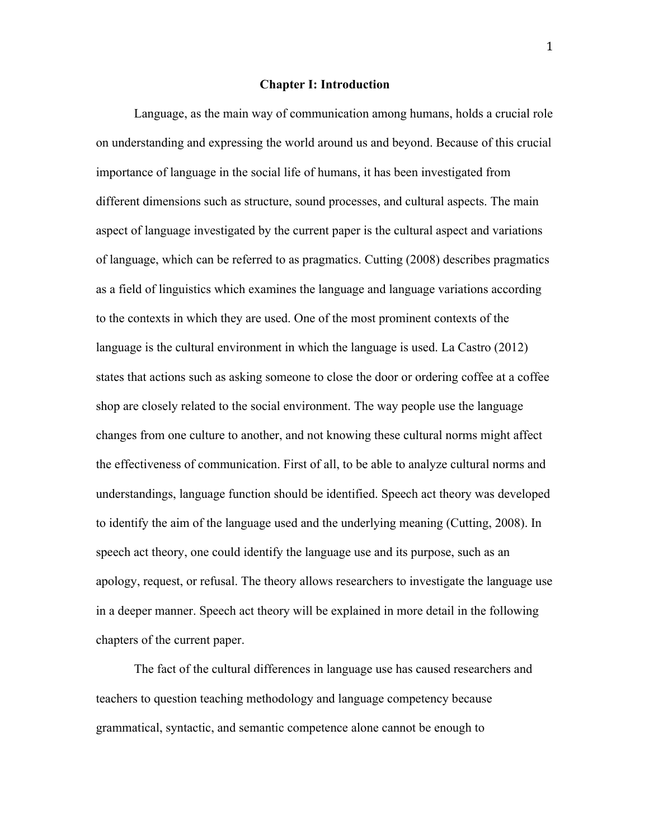#### **Chapter I: Introduction**

Language, as the main way of communication among humans, holds a crucial role on understanding and expressing the world around us and beyond. Because of this crucial importance of language in the social life of humans, it has been investigated from different dimensions such as structure, sound processes, and cultural aspects. The main aspect of language investigated by the current paper is the cultural aspect and variations of language, which can be referred to as pragmatics. Cutting (2008) describes pragmatics as a field of linguistics which examines the language and language variations according to the contexts in which they are used. One of the most prominent contexts of the language is the cultural environment in which the language is used. La Castro (2012) states that actions such as asking someone to close the door or ordering coffee at a coffee shop are closely related to the social environment. The way people use the language changes from one culture to another, and not knowing these cultural norms might affect the effectiveness of communication. First of all, to be able to analyze cultural norms and understandings, language function should be identified. Speech act theory was developed to identify the aim of the language used and the underlying meaning (Cutting, 2008). In speech act theory, one could identify the language use and its purpose, such as an apology, request, or refusal. The theory allows researchers to investigate the language use in a deeper manner. Speech act theory will be explained in more detail in the following chapters of the current paper.

The fact of the cultural differences in language use has caused researchers and teachers to question teaching methodology and language competency because grammatical, syntactic, and semantic competence alone cannot be enough to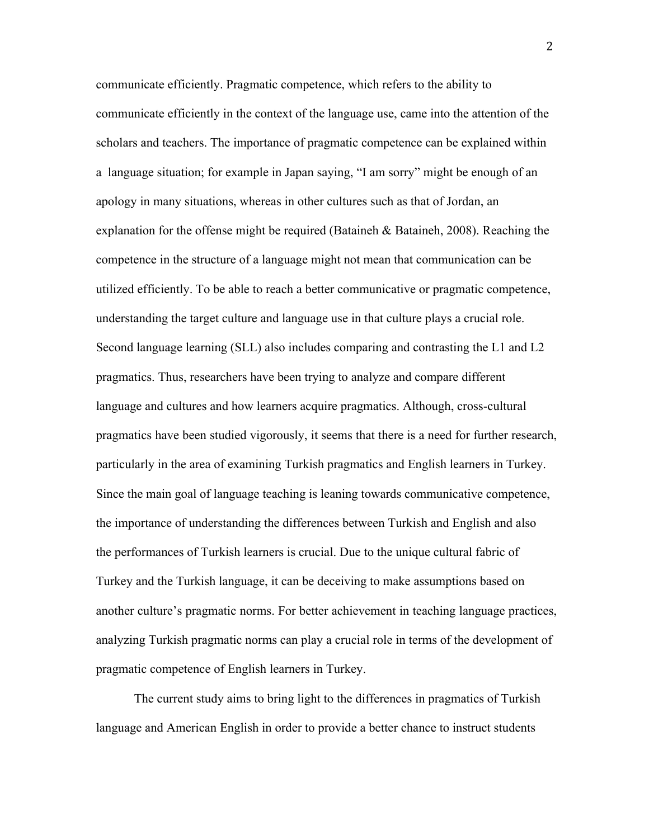communicate efficiently. Pragmatic competence, which refers to the ability to communicate efficiently in the context of the language use, came into the attention of the scholars and teachers. The importance of pragmatic competence can be explained within a language situation; for example in Japan saying, "I am sorry" might be enough of an apology in many situations, whereas in other cultures such as that of Jordan, an explanation for the offense might be required (Bataineh  $\&$  Bataineh, 2008). Reaching the competence in the structure of a language might not mean that communication can be utilized efficiently. To be able to reach a better communicative or pragmatic competence, understanding the target culture and language use in that culture plays a crucial role. Second language learning (SLL) also includes comparing and contrasting the L1 and L2 pragmatics. Thus, researchers have been trying to analyze and compare different language and cultures and how learners acquire pragmatics. Although, cross-cultural pragmatics have been studied vigorously, it seems that there is a need for further research, particularly in the area of examining Turkish pragmatics and English learners in Turkey. Since the main goal of language teaching is leaning towards communicative competence, the importance of understanding the differences between Turkish and English and also the performances of Turkish learners is crucial. Due to the unique cultural fabric of Turkey and the Turkish language, it can be deceiving to make assumptions based on another culture's pragmatic norms. For better achievement in teaching language practices, analyzing Turkish pragmatic norms can play a crucial role in terms of the development of pragmatic competence of English learners in Turkey.

The current study aims to bring light to the differences in pragmatics of Turkish language and American English in order to provide a better chance to instruct students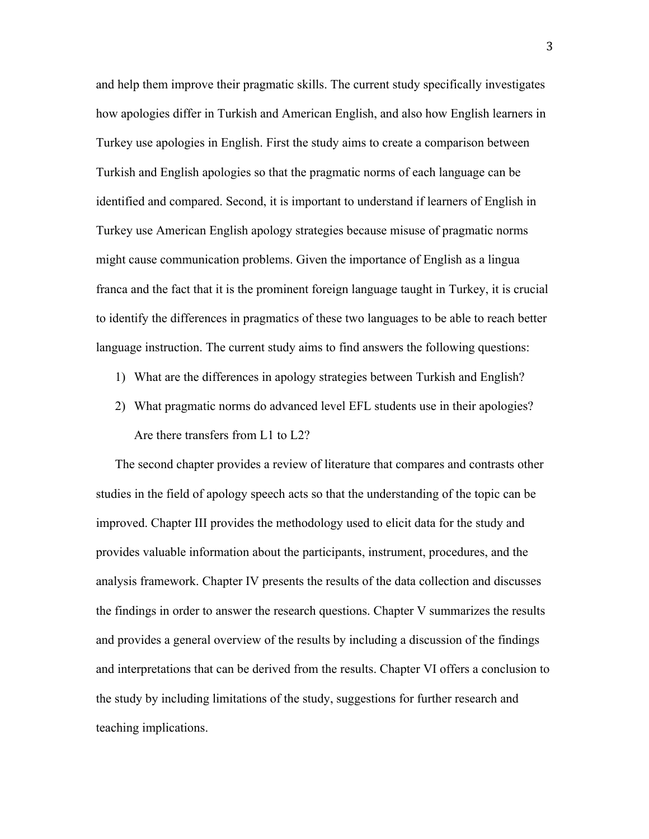and help them improve their pragmatic skills. The current study specifically investigates how apologies differ in Turkish and American English, and also how English learners in Turkey use apologies in English. First the study aims to create a comparison between Turkish and English apologies so that the pragmatic norms of each language can be identified and compared. Second, it is important to understand if learners of English in Turkey use American English apology strategies because misuse of pragmatic norms might cause communication problems. Given the importance of English as a lingua franca and the fact that it is the prominent foreign language taught in Turkey, it is crucial to identify the differences in pragmatics of these two languages to be able to reach better language instruction. The current study aims to find answers the following questions:

- 1) What are the differences in apology strategies between Turkish and English?
- 2) What pragmatic norms do advanced level EFL students use in their apologies? Are there transfers from L1 to L2?

The second chapter provides a review of literature that compares and contrasts other studies in the field of apology speech acts so that the understanding of the topic can be improved. Chapter III provides the methodology used to elicit data for the study and provides valuable information about the participants, instrument, procedures, and the analysis framework. Chapter IV presents the results of the data collection and discusses the findings in order to answer the research questions. Chapter V summarizes the results and provides a general overview of the results by including a discussion of the findings and interpretations that can be derived from the results. Chapter VI offers a conclusion to the study by including limitations of the study, suggestions for further research and teaching implications.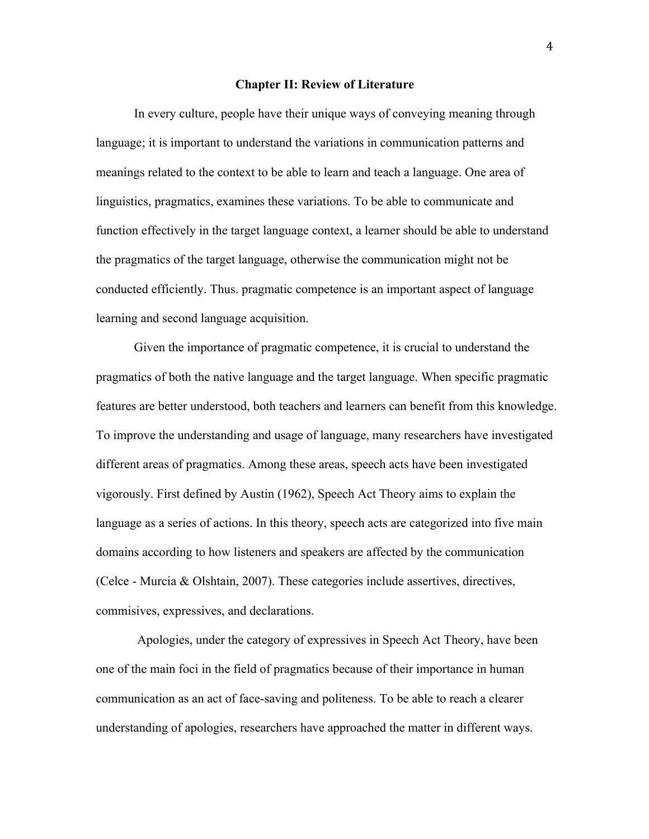#### **Chapter II: Review of Literature**

In every culture, people have their unique ways of conveying meaning through language; it is important to understand the variations in communication patterns and meanings related to the context to be able to learn and teach a language. One area of linguistics, pragmatics, examines these variations. To be able to communicate and function effectively in the target language context, a learner should be able to understand the pragmatics of the target language, otherwise the communication might not be conducted efficiently. Thus. pragmatic competence is an important aspect of language learning and second language acquisition.

Given the importance of pragmatic competence, it is crucial to understand the pragmatics of both the native language and the target language. When specific pragmatic features are better understood, both teachers and learners can benefit from this knowledge. To improve the understanding and usage of language, many researchers have investigated different areas of pragmatics. Among these areas, speech acts have been investigated vigorously. First defined by Austin (1962), Speech Act Theory aims to explain the language as a series of actions. In this theory, speech acts are categorized into five main domains according to how listeners and speakers are affected by the communication (Celce - Murcia & Olshtain, 2007). These categories include assertives, directives, commisives, expressives, and declarations.

Apologies, under the category of expressives in Speech Act Theory, have been one of the main foci in the field of pragmatics because of their importance in human communication as an act of face-saving and politeness. To be able to reach a clearer understanding of apologies, researchers have approached the matter in different ways.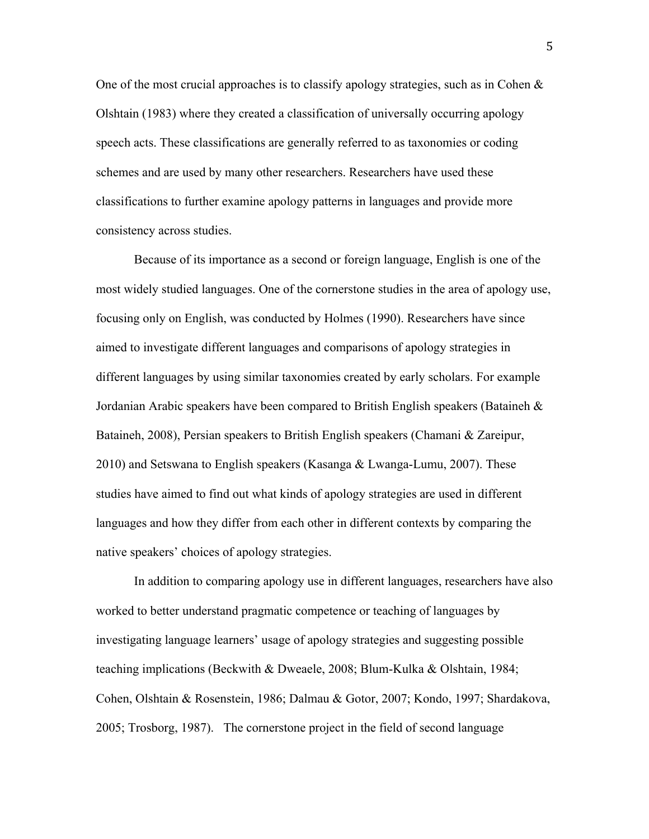One of the most crucial approaches is to classify apology strategies, such as in Cohen & Olshtain (1983) where they created a classification of universally occurring apology speech acts. These classifications are generally referred to as taxonomies or coding schemes and are used by many other researchers. Researchers have used these classifications to further examine apology patterns in languages and provide more consistency across studies.

Because of its importance as a second or foreign language, English is one of the most widely studied languages. One of the cornerstone studies in the area of apology use, focusing only on English, was conducted by Holmes (1990). Researchers have since aimed to investigate different languages and comparisons of apology strategies in different languages by using similar taxonomies created by early scholars. For example Jordanian Arabic speakers have been compared to British English speakers (Bataineh & Bataineh, 2008), Persian speakers to British English speakers (Chamani & Zareipur, 2010) and Setswana to English speakers (Kasanga & Lwanga-Lumu, 2007). These studies have aimed to find out what kinds of apology strategies are used in different languages and how they differ from each other in different contexts by comparing the native speakers' choices of apology strategies.

In addition to comparing apology use in different languages, researchers have also worked to better understand pragmatic competence or teaching of languages by investigating language learners' usage of apology strategies and suggesting possible teaching implications (Beckwith & Dweaele, 2008; Blum-Kulka & Olshtain, 1984; Cohen, Olshtain & Rosenstein, 1986; Dalmau & Gotor, 2007; Kondo, 1997; Shardakova, 2005; Trosborg, 1987). The cornerstone project in the field of second language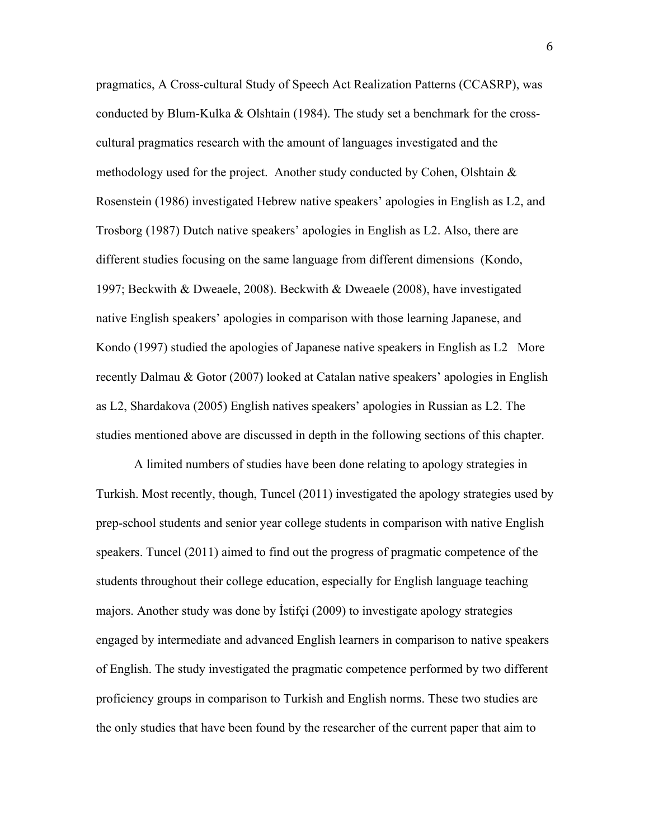pragmatics, A Cross-cultural Study of Speech Act Realization Patterns (CCASRP), was conducted by Blum-Kulka & Olshtain (1984). The study set a benchmark for the crosscultural pragmatics research with the amount of languages investigated and the methodology used for the project. Another study conducted by Cohen, Olshtain  $\&$ Rosenstein (1986) investigated Hebrew native speakers' apologies in English as L2, and Trosborg (1987) Dutch native speakers' apologies in English as L2. Also, there are different studies focusing on the same language from different dimensions (Kondo, 1997; Beckwith & Dweaele, 2008). Beckwith & Dweaele (2008), have investigated native English speakers' apologies in comparison with those learning Japanese, and Kondo (1997) studied the apologies of Japanese native speakers in English as L2 More recently Dalmau & Gotor (2007) looked at Catalan native speakers' apologies in English as L2, Shardakova (2005) English natives speakers' apologies in Russian as L2. The studies mentioned above are discussed in depth in the following sections of this chapter.

A limited numbers of studies have been done relating to apology strategies in Turkish. Most recently, though, Tuncel (2011) investigated the apology strategies used by prep-school students and senior year college students in comparison with native English speakers. Tuncel (2011) aimed to find out the progress of pragmatic competence of the students throughout their college education, especially for English language teaching majors. Another study was done by İstifçi (2009) to investigate apology strategies engaged by intermediate and advanced English learners in comparison to native speakers of English. The study investigated the pragmatic competence performed by two different proficiency groups in comparison to Turkish and English norms. These two studies are the only studies that have been found by the researcher of the current paper that aim to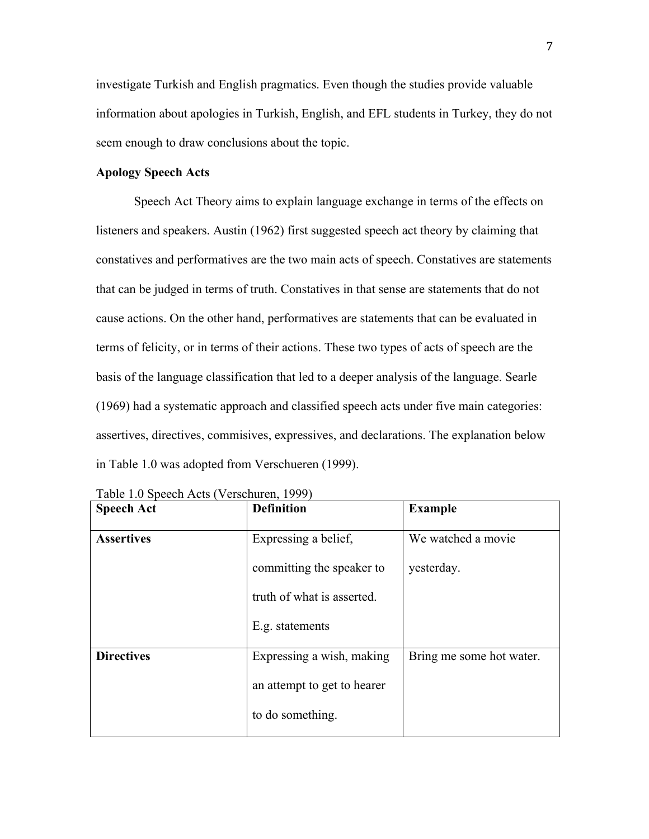investigate Turkish and English pragmatics. Even though the studies provide valuable information about apologies in Turkish, English, and EFL students in Turkey, they do not seem enough to draw conclusions about the topic.

#### **Apology Speech Acts**

Speech Act Theory aims to explain language exchange in terms of the effects on listeners and speakers. Austin (1962) first suggested speech act theory by claiming that constatives and performatives are the two main acts of speech. Constatives are statements that can be judged in terms of truth. Constatives in that sense are statements that do not cause actions. On the other hand, performatives are statements that can be evaluated in terms of felicity, or in terms of their actions. These two types of acts of speech are the basis of the language classification that led to a deeper analysis of the language. Searle (1969) had a systematic approach and classified speech acts under five main categories: assertives, directives, commisives, expressives, and declarations. The explanation below in Table 1.0 was adopted from Verschueren (1999).

| <b>Speech Act</b> | <b>Definition</b>           | <b>Example</b>           |
|-------------------|-----------------------------|--------------------------|
| <b>Assertives</b> | Expressing a belief,        | We watched a movie       |
|                   | committing the speaker to   | yesterday.               |
|                   | truth of what is asserted.  |                          |
|                   | E.g. statements             |                          |
| <b>Directives</b> | Expressing a wish, making   | Bring me some hot water. |
|                   | an attempt to get to hearer |                          |
|                   | to do something.            |                          |

Table 1.0 Speech Acts (Verschuren, 1999)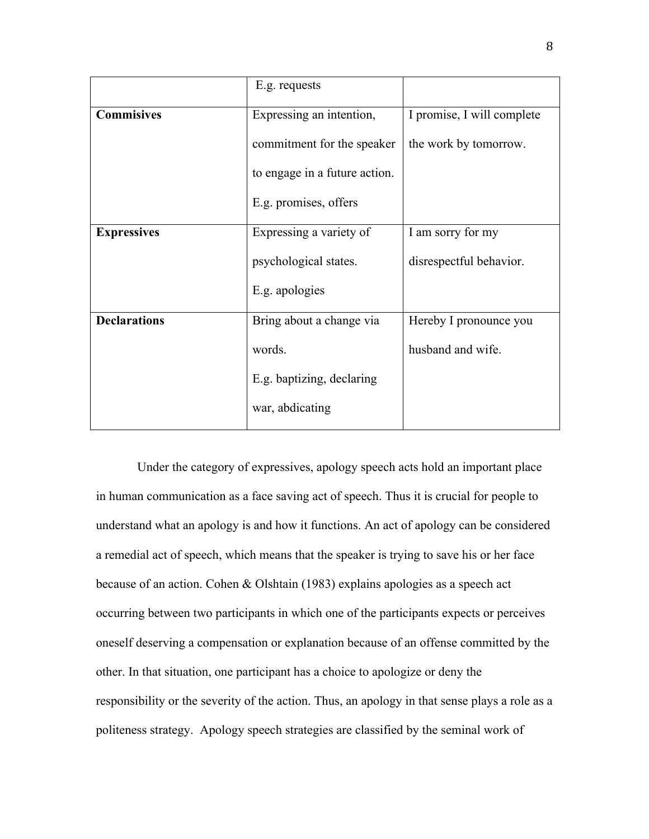|                     | E.g. requests                 |                            |
|---------------------|-------------------------------|----------------------------|
| <b>Commisives</b>   | Expressing an intention,      | I promise, I will complete |
|                     | commitment for the speaker    | the work by tomorrow.      |
|                     | to engage in a future action. |                            |
|                     | E.g. promises, offers         |                            |
| <b>Expressives</b>  | Expressing a variety of       | I am sorry for my          |
|                     | psychological states.         | disrespectful behavior.    |
|                     | E.g. apologies                |                            |
| <b>Declarations</b> | Bring about a change via      | Hereby I pronounce you     |
|                     | words.                        | husband and wife.          |
|                     | E.g. baptizing, declaring     |                            |
|                     | war, abdicating               |                            |

Under the category of expressives, apology speech acts hold an important place in human communication as a face saving act of speech. Thus it is crucial for people to understand what an apology is and how it functions. An act of apology can be considered a remedial act of speech, which means that the speaker is trying to save his or her face because of an action. Cohen & Olshtain (1983) explains apologies as a speech act occurring between two participants in which one of the participants expects or perceives oneself deserving a compensation or explanation because of an offense committed by the other. In that situation, one participant has a choice to apologize or deny the responsibility or the severity of the action. Thus, an apology in that sense plays a role as a politeness strategy. Apology speech strategies are classified by the seminal work of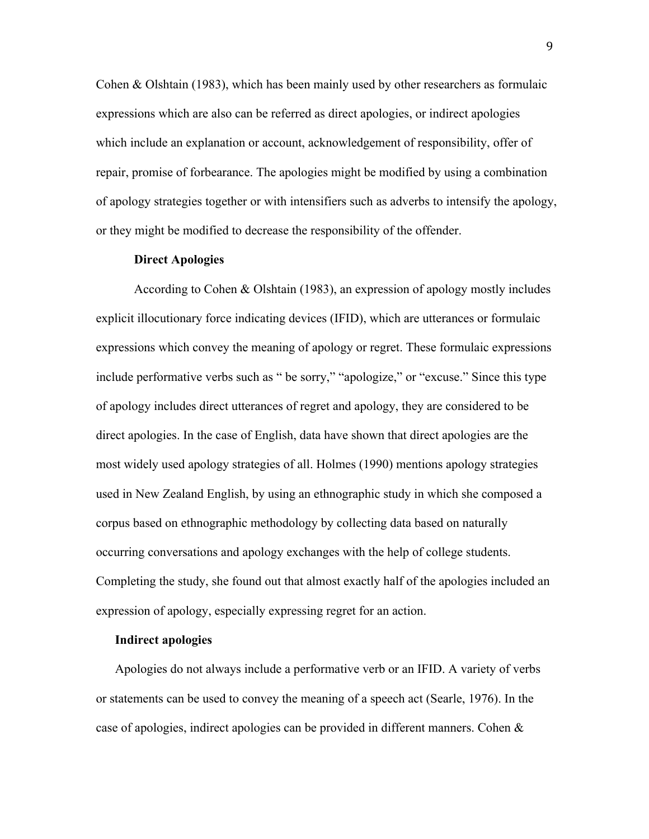Cohen & Olshtain (1983), which has been mainly used by other researchers as formulaic expressions which are also can be referred as direct apologies, or indirect apologies which include an explanation or account, acknowledgement of responsibility, offer of repair, promise of forbearance. The apologies might be modified by using a combination of apology strategies together or with intensifiers such as adverbs to intensify the apology, or they might be modified to decrease the responsibility of the offender.

#### **Direct Apologies**

According to Cohen & Olshtain (1983), an expression of apology mostly includes explicit illocutionary force indicating devices (IFID), which are utterances or formulaic expressions which convey the meaning of apology or regret. These formulaic expressions include performative verbs such as " be sorry," "apologize," or "excuse." Since this type of apology includes direct utterances of regret and apology, they are considered to be direct apologies. In the case of English, data have shown that direct apologies are the most widely used apology strategies of all. Holmes (1990) mentions apology strategies used in New Zealand English, by using an ethnographic study in which she composed a corpus based on ethnographic methodology by collecting data based on naturally occurring conversations and apology exchanges with the help of college students. Completing the study, she found out that almost exactly half of the apologies included an expression of apology, especially expressing regret for an action.

#### **Indirect apologies**

Apologies do not always include a performative verb or an IFID. A variety of verbs or statements can be used to convey the meaning of a speech act (Searle, 1976). In the case of apologies, indirect apologies can be provided in different manners. Cohen &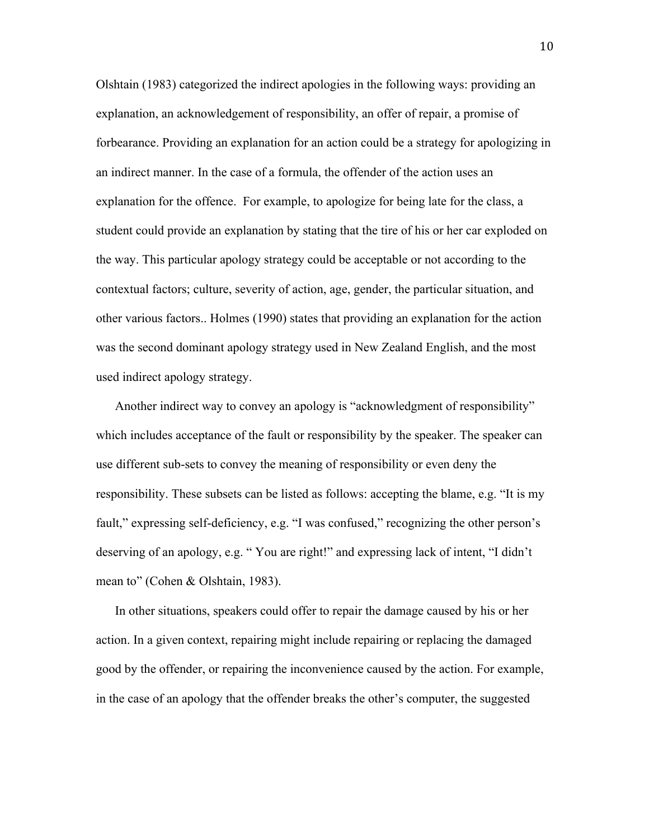Olshtain (1983) categorized the indirect apologies in the following ways: providing an explanation, an acknowledgement of responsibility, an offer of repair, a promise of forbearance. Providing an explanation for an action could be a strategy for apologizing in an indirect manner. In the case of a formula, the offender of the action uses an explanation for the offence. For example, to apologize for being late for the class, a student could provide an explanation by stating that the tire of his or her car exploded on the way. This particular apology strategy could be acceptable or not according to the contextual factors; culture, severity of action, age, gender, the particular situation, and other various factors.. Holmes (1990) states that providing an explanation for the action was the second dominant apology strategy used in New Zealand English, and the most used indirect apology strategy.

Another indirect way to convey an apology is "acknowledgment of responsibility" which includes acceptance of the fault or responsibility by the speaker. The speaker can use different sub-sets to convey the meaning of responsibility or even deny the responsibility. These subsets can be listed as follows: accepting the blame, e.g. "It is my fault," expressing self-deficiency, e.g. "I was confused," recognizing the other person's deserving of an apology, e.g. " You are right!" and expressing lack of intent, "I didn't mean to" (Cohen & Olshtain, 1983).

In other situations, speakers could offer to repair the damage caused by his or her action. In a given context, repairing might include repairing or replacing the damaged good by the offender, or repairing the inconvenience caused by the action. For example, in the case of an apology that the offender breaks the other's computer, the suggested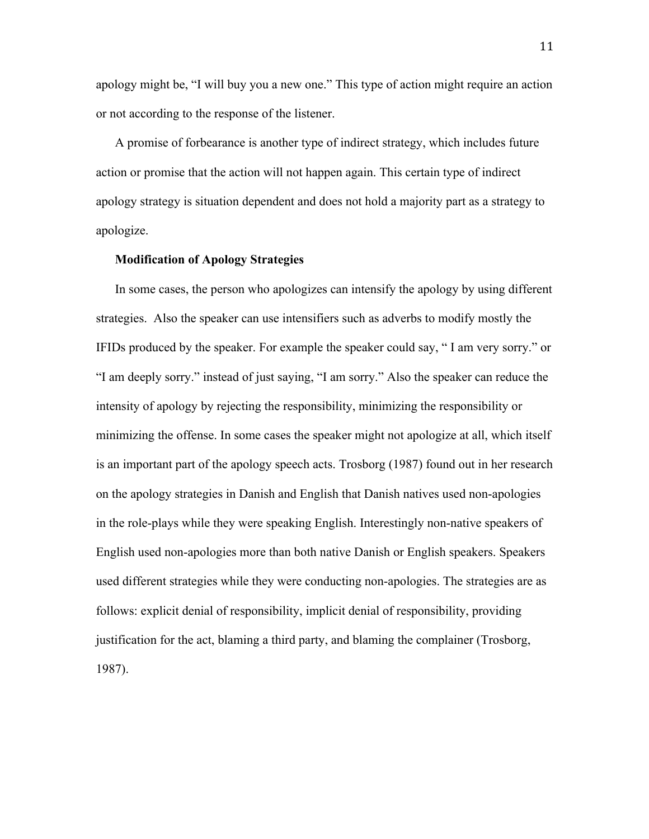apology might be, "I will buy you a new one." This type of action might require an action or not according to the response of the listener.

A promise of forbearance is another type of indirect strategy, which includes future action or promise that the action will not happen again. This certain type of indirect apology strategy is situation dependent and does not hold a majority part as a strategy to apologize.

#### **Modification of Apology Strategies**

In some cases, the person who apologizes can intensify the apology by using different strategies. Also the speaker can use intensifiers such as adverbs to modify mostly the IFIDs produced by the speaker. For example the speaker could say, " I am very sorry." or "I am deeply sorry." instead of just saying, "I am sorry." Also the speaker can reduce the intensity of apology by rejecting the responsibility, minimizing the responsibility or minimizing the offense. In some cases the speaker might not apologize at all, which itself is an important part of the apology speech acts. Trosborg (1987) found out in her research on the apology strategies in Danish and English that Danish natives used non-apologies in the role-plays while they were speaking English. Interestingly non-native speakers of English used non-apologies more than both native Danish or English speakers. Speakers used different strategies while they were conducting non-apologies. The strategies are as follows: explicit denial of responsibility, implicit denial of responsibility, providing justification for the act, blaming a third party, and blaming the complainer (Trosborg, 1987).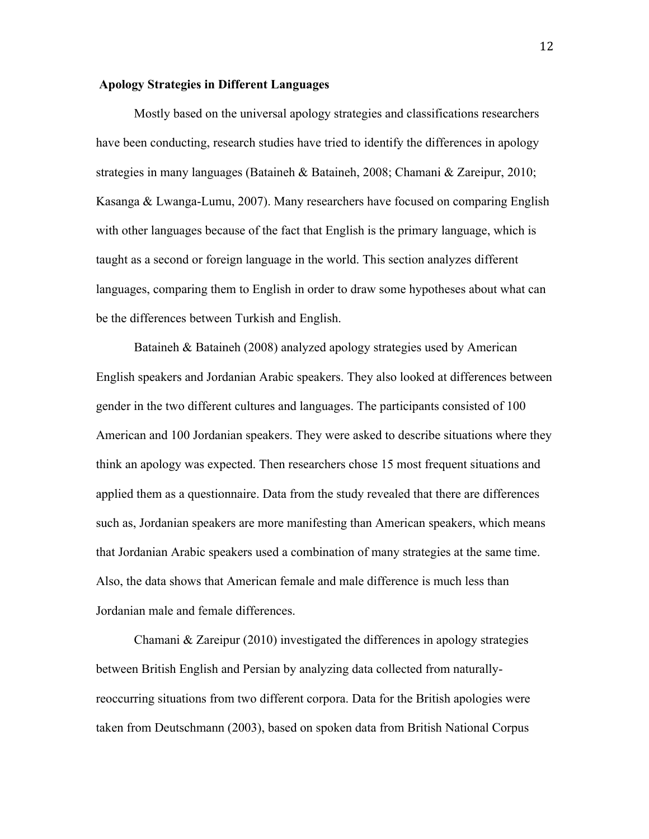#### **Apology Strategies in Different Languages**

Mostly based on the universal apology strategies and classifications researchers have been conducting, research studies have tried to identify the differences in apology strategies in many languages (Bataineh & Bataineh, 2008; Chamani & Zareipur, 2010; Kasanga & Lwanga-Lumu, 2007). Many researchers have focused on comparing English with other languages because of the fact that English is the primary language, which is taught as a second or foreign language in the world. This section analyzes different languages, comparing them to English in order to draw some hypotheses about what can be the differences between Turkish and English.

Bataineh & Bataineh (2008) analyzed apology strategies used by American English speakers and Jordanian Arabic speakers. They also looked at differences between gender in the two different cultures and languages. The participants consisted of 100 American and 100 Jordanian speakers. They were asked to describe situations where they think an apology was expected. Then researchers chose 15 most frequent situations and applied them as a questionnaire. Data from the study revealed that there are differences such as, Jordanian speakers are more manifesting than American speakers, which means that Jordanian Arabic speakers used a combination of many strategies at the same time. Also, the data shows that American female and male difference is much less than Jordanian male and female differences.

Chamani & Zareipur (2010) investigated the differences in apology strategies between British English and Persian by analyzing data collected from naturallyreoccurring situations from two different corpora. Data for the British apologies were taken from Deutschmann (2003), based on spoken data from British National Corpus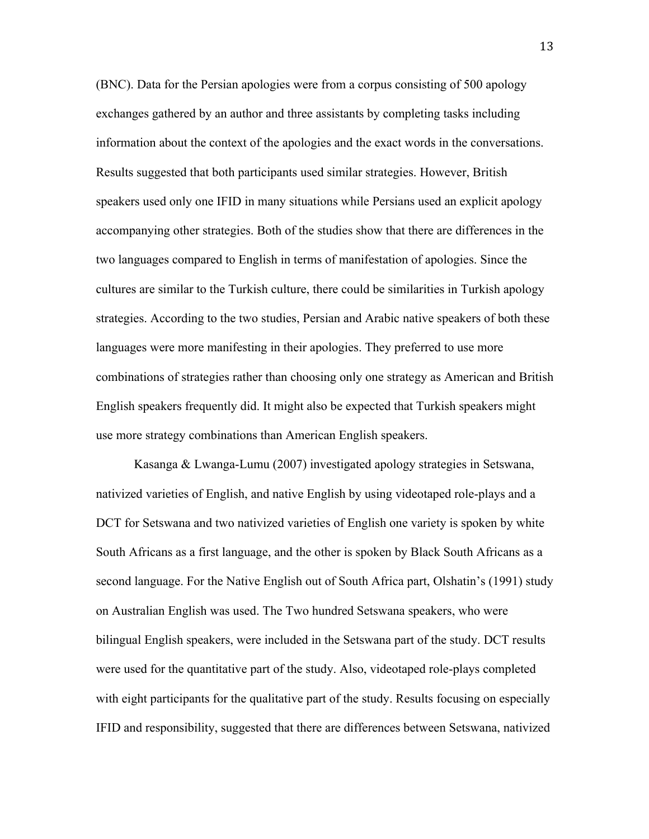(BNC). Data for the Persian apologies were from a corpus consisting of 500 apology exchanges gathered by an author and three assistants by completing tasks including information about the context of the apologies and the exact words in the conversations. Results suggested that both participants used similar strategies. However, British speakers used only one IFID in many situations while Persians used an explicit apology accompanying other strategies. Both of the studies show that there are differences in the two languages compared to English in terms of manifestation of apologies. Since the cultures are similar to the Turkish culture, there could be similarities in Turkish apology strategies. According to the two studies, Persian and Arabic native speakers of both these languages were more manifesting in their apologies. They preferred to use more combinations of strategies rather than choosing only one strategy as American and British English speakers frequently did. It might also be expected that Turkish speakers might use more strategy combinations than American English speakers.

Kasanga & Lwanga-Lumu (2007) investigated apology strategies in Setswana, nativized varieties of English, and native English by using videotaped role-plays and a DCT for Setswana and two nativized varieties of English one variety is spoken by white South Africans as a first language, and the other is spoken by Black South Africans as a second language. For the Native English out of South Africa part, Olshatin's (1991) study on Australian English was used. The Two hundred Setswana speakers, who were bilingual English speakers, were included in the Setswana part of the study. DCT results were used for the quantitative part of the study. Also, videotaped role-plays completed with eight participants for the qualitative part of the study. Results focusing on especially IFID and responsibility, suggested that there are differences between Setswana, nativized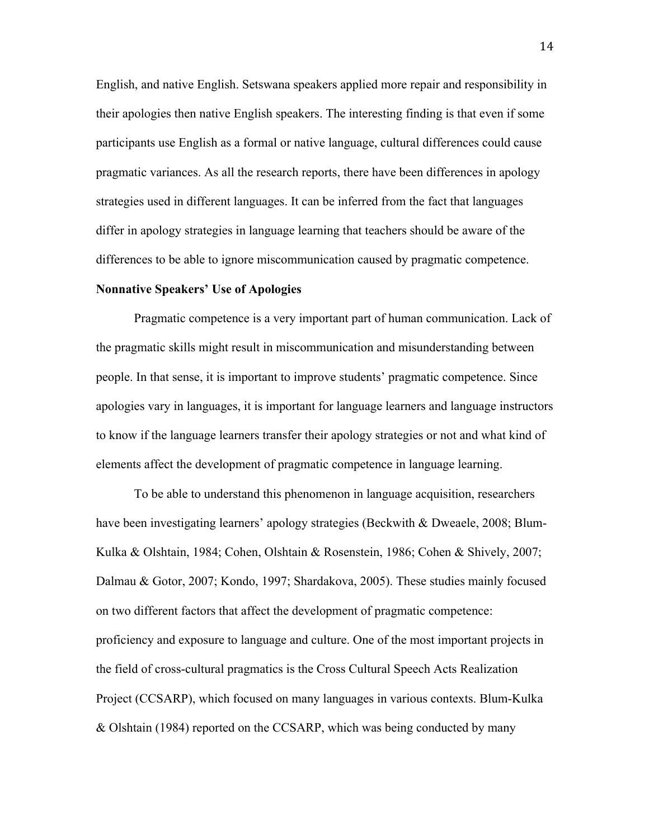English, and native English. Setswana speakers applied more repair and responsibility in their apologies then native English speakers. The interesting finding is that even if some participants use English as a formal or native language, cultural differences could cause pragmatic variances. As all the research reports, there have been differences in apology strategies used in different languages. It can be inferred from the fact that languages differ in apology strategies in language learning that teachers should be aware of the differences to be able to ignore miscommunication caused by pragmatic competence.

#### **Nonnative Speakers' Use of Apologies**

Pragmatic competence is a very important part of human communication. Lack of the pragmatic skills might result in miscommunication and misunderstanding between people. In that sense, it is important to improve students' pragmatic competence. Since apologies vary in languages, it is important for language learners and language instructors to know if the language learners transfer their apology strategies or not and what kind of elements affect the development of pragmatic competence in language learning.

To be able to understand this phenomenon in language acquisition, researchers have been investigating learners' apology strategies (Beckwith & Dweaele, 2008; Blum-Kulka & Olshtain, 1984; Cohen, Olshtain & Rosenstein, 1986; Cohen & Shively, 2007; Dalmau & Gotor, 2007; Kondo, 1997; Shardakova, 2005). These studies mainly focused on two different factors that affect the development of pragmatic competence: proficiency and exposure to language and culture. One of the most important projects in the field of cross-cultural pragmatics is the Cross Cultural Speech Acts Realization Project (CCSARP), which focused on many languages in various contexts. Blum-Kulka & Olshtain (1984) reported on the CCSARP, which was being conducted by many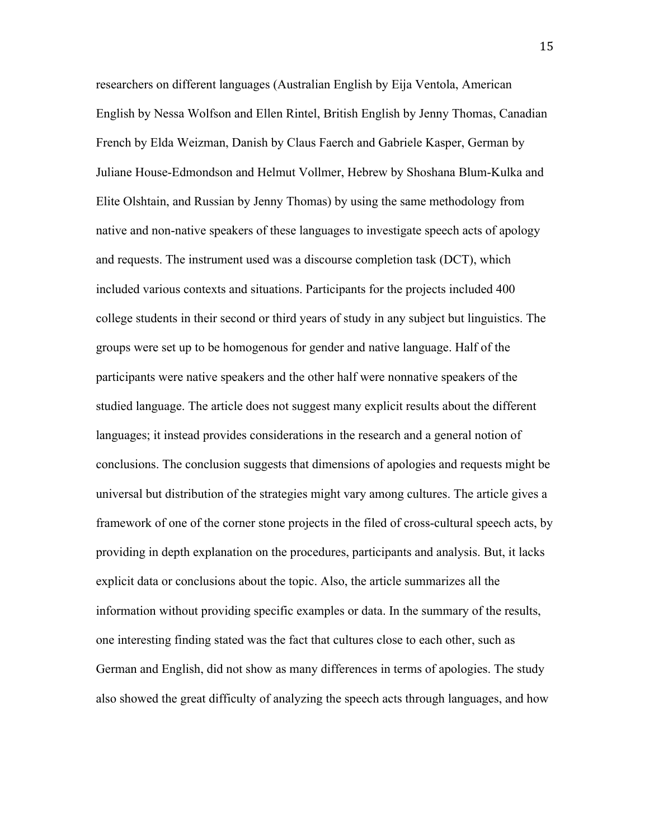researchers on different languages (Australian English by Eija Ventola, American English by Nessa Wolfson and Ellen Rintel, British English by Jenny Thomas, Canadian French by Elda Weizman, Danish by Claus Faerch and Gabriele Kasper, German by Juliane House-Edmondson and Helmut Vollmer, Hebrew by Shoshana Blum-Kulka and Elite Olshtain, and Russian by Jenny Thomas) by using the same methodology from native and non-native speakers of these languages to investigate speech acts of apology and requests. The instrument used was a discourse completion task (DCT), which included various contexts and situations. Participants for the projects included 400 college students in their second or third years of study in any subject but linguistics. The groups were set up to be homogenous for gender and native language. Half of the participants were native speakers and the other half were nonnative speakers of the studied language. The article does not suggest many explicit results about the different languages; it instead provides considerations in the research and a general notion of conclusions. The conclusion suggests that dimensions of apologies and requests might be universal but distribution of the strategies might vary among cultures. The article gives a framework of one of the corner stone projects in the filed of cross-cultural speech acts, by providing in depth explanation on the procedures, participants and analysis. But, it lacks explicit data or conclusions about the topic. Also, the article summarizes all the information without providing specific examples or data. In the summary of the results, one interesting finding stated was the fact that cultures close to each other, such as German and English, did not show as many differences in terms of apologies. The study also showed the great difficulty of analyzing the speech acts through languages, and how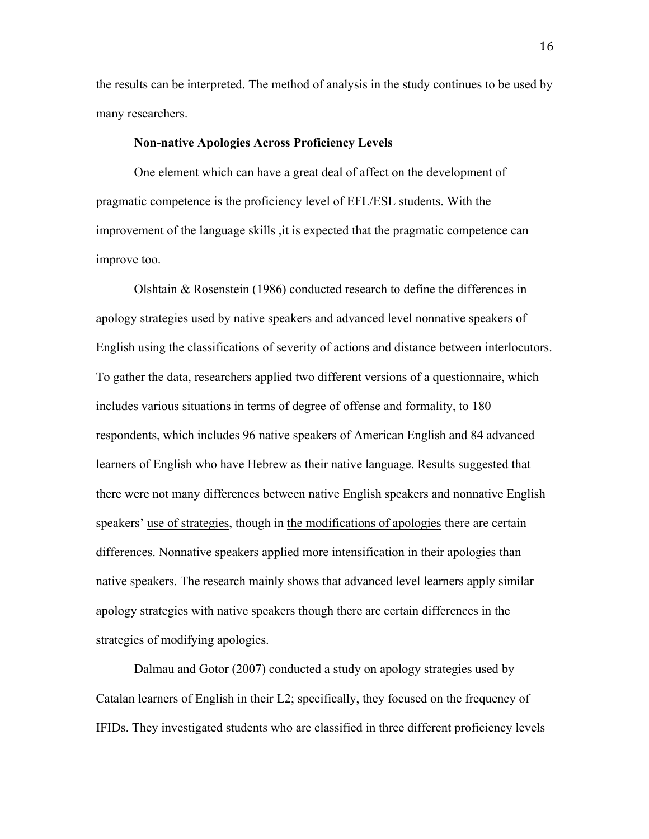the results can be interpreted. The method of analysis in the study continues to be used by many researchers.

#### **Non-native Apologies Across Proficiency Levels**

One element which can have a great deal of affect on the development of pragmatic competence is the proficiency level of EFL/ESL students. With the improvement of the language skills ,it is expected that the pragmatic competence can improve too.

Olshtain & Rosenstein (1986) conducted research to define the differences in apology strategies used by native speakers and advanced level nonnative speakers of English using the classifications of severity of actions and distance between interlocutors. To gather the data, researchers applied two different versions of a questionnaire, which includes various situations in terms of degree of offense and formality, to 180 respondents, which includes 96 native speakers of American English and 84 advanced learners of English who have Hebrew as their native language. Results suggested that there were not many differences between native English speakers and nonnative English speakers' use of strategies, though in the modifications of apologies there are certain differences. Nonnative speakers applied more intensification in their apologies than native speakers. The research mainly shows that advanced level learners apply similar apology strategies with native speakers though there are certain differences in the strategies of modifying apologies.

Dalmau and Gotor (2007) conducted a study on apology strategies used by Catalan learners of English in their L2; specifically, they focused on the frequency of IFIDs. They investigated students who are classified in three different proficiency levels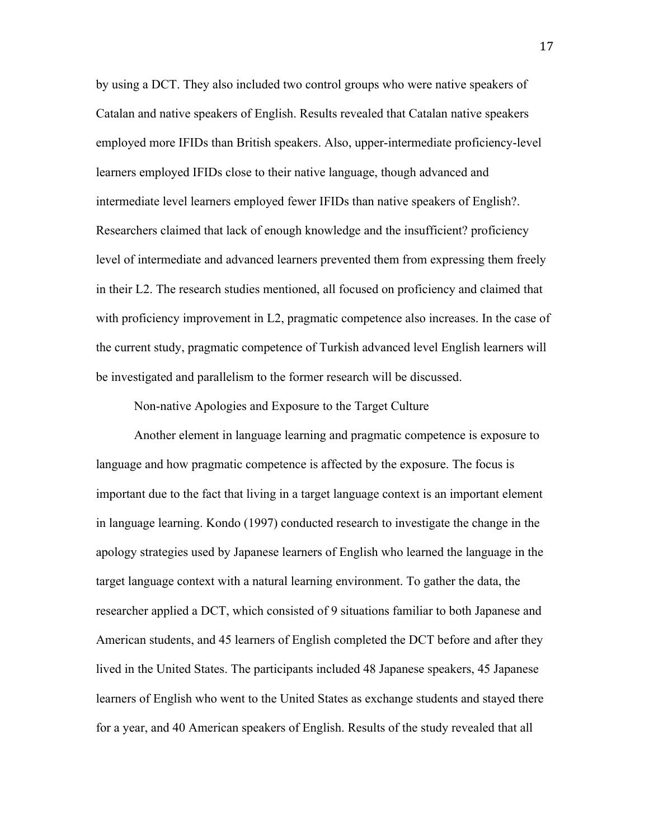by using a DCT. They also included two control groups who were native speakers of Catalan and native speakers of English. Results revealed that Catalan native speakers employed more IFIDs than British speakers. Also, upper-intermediate proficiency-level learners employed IFIDs close to their native language, though advanced and intermediate level learners employed fewer IFIDs than native speakers of English?. Researchers claimed that lack of enough knowledge and the insufficient? proficiency level of intermediate and advanced learners prevented them from expressing them freely in their L2. The research studies mentioned, all focused on proficiency and claimed that with proficiency improvement in L2, pragmatic competence also increases. In the case of the current study, pragmatic competence of Turkish advanced level English learners will be investigated and parallelism to the former research will be discussed.

Non-native Apologies and Exposure to the Target Culture

Another element in language learning and pragmatic competence is exposure to language and how pragmatic competence is affected by the exposure. The focus is important due to the fact that living in a target language context is an important element in language learning. Kondo (1997) conducted research to investigate the change in the apology strategies used by Japanese learners of English who learned the language in the target language context with a natural learning environment. To gather the data, the researcher applied a DCT, which consisted of 9 situations familiar to both Japanese and American students, and 45 learners of English completed the DCT before and after they lived in the United States. The participants included 48 Japanese speakers, 45 Japanese learners of English who went to the United States as exchange students and stayed there for a year, and 40 American speakers of English. Results of the study revealed that all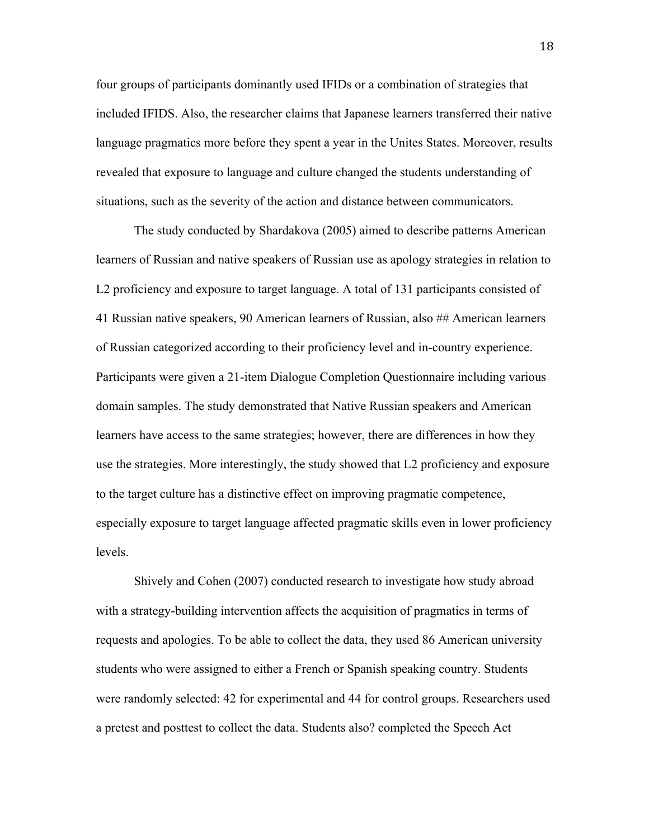four groups of participants dominantly used IFIDs or a combination of strategies that included IFIDS. Also, the researcher claims that Japanese learners transferred their native language pragmatics more before they spent a year in the Unites States. Moreover, results revealed that exposure to language and culture changed the students understanding of situations, such as the severity of the action and distance between communicators.

The study conducted by Shardakova (2005) aimed to describe patterns American learners of Russian and native speakers of Russian use as apology strategies in relation to L2 proficiency and exposure to target language. A total of 131 participants consisted of 41 Russian native speakers, 90 American learners of Russian, also ## American learners of Russian categorized according to their proficiency level and in-country experience. Participants were given a 21-item Dialogue Completion Questionnaire including various domain samples. The study demonstrated that Native Russian speakers and American learners have access to the same strategies; however, there are differences in how they use the strategies. More interestingly, the study showed that L2 proficiency and exposure to the target culture has a distinctive effect on improving pragmatic competence, especially exposure to target language affected pragmatic skills even in lower proficiency levels.

Shively and Cohen (2007) conducted research to investigate how study abroad with a strategy-building intervention affects the acquisition of pragmatics in terms of requests and apologies. To be able to collect the data, they used 86 American university students who were assigned to either a French or Spanish speaking country. Students were randomly selected: 42 for experimental and 44 for control groups. Researchers used a pretest and posttest to collect the data. Students also? completed the Speech Act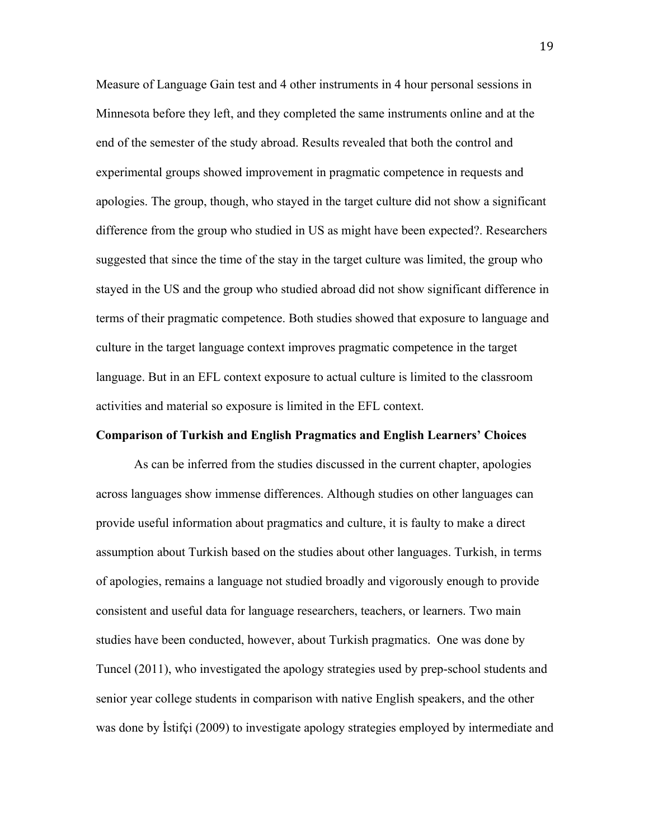Measure of Language Gain test and 4 other instruments in 4 hour personal sessions in Minnesota before they left, and they completed the same instruments online and at the end of the semester of the study abroad. Results revealed that both the control and experimental groups showed improvement in pragmatic competence in requests and apologies. The group, though, who stayed in the target culture did not show a significant difference from the group who studied in US as might have been expected?. Researchers suggested that since the time of the stay in the target culture was limited, the group who stayed in the US and the group who studied abroad did not show significant difference in terms of their pragmatic competence. Both studies showed that exposure to language and culture in the target language context improves pragmatic competence in the target language. But in an EFL context exposure to actual culture is limited to the classroom activities and material so exposure is limited in the EFL context.

#### **Comparison of Turkish and English Pragmatics and English Learners' Choices**

As can be inferred from the studies discussed in the current chapter, apologies across languages show immense differences. Although studies on other languages can provide useful information about pragmatics and culture, it is faulty to make a direct assumption about Turkish based on the studies about other languages. Turkish, in terms of apologies, remains a language not studied broadly and vigorously enough to provide consistent and useful data for language researchers, teachers, or learners. Two main studies have been conducted, however, about Turkish pragmatics. One was done by Tuncel (2011), who investigated the apology strategies used by prep-school students and senior year college students in comparison with native English speakers, and the other was done by İstifçi (2009) to investigate apology strategies employed by intermediate and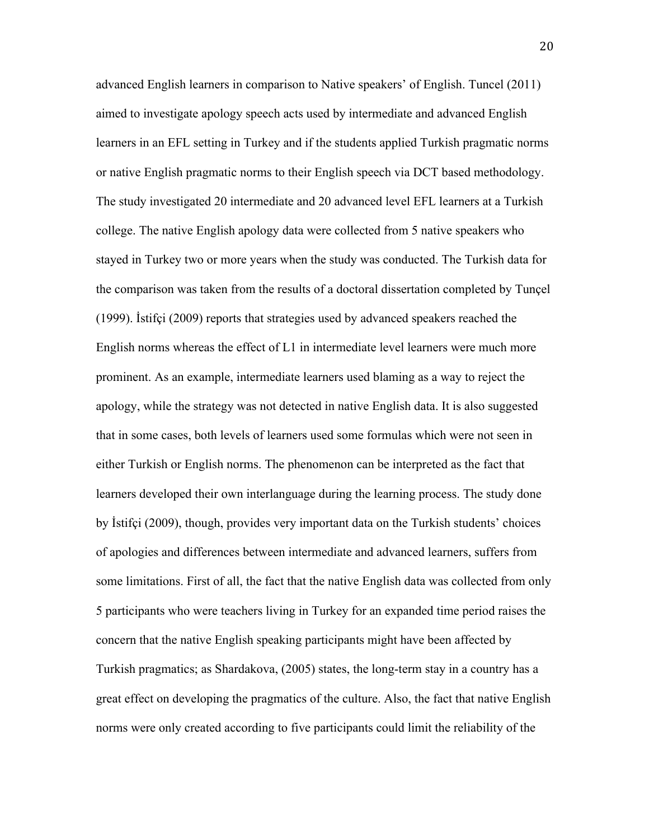advanced English learners in comparison to Native speakers' of English. Tuncel (2011) aimed to investigate apology speech acts used by intermediate and advanced English learners in an EFL setting in Turkey and if the students applied Turkish pragmatic norms or native English pragmatic norms to their English speech via DCT based methodology. The study investigated 20 intermediate and 20 advanced level EFL learners at a Turkish college. The native English apology data were collected from 5 native speakers who stayed in Turkey two or more years when the study was conducted. The Turkish data for the comparison was taken from the results of a doctoral dissertation completed by Tunçel (1999). İstifçi (2009) reports that strategies used by advanced speakers reached the English norms whereas the effect of L1 in intermediate level learners were much more prominent. As an example, intermediate learners used blaming as a way to reject the apology, while the strategy was not detected in native English data. It is also suggested that in some cases, both levels of learners used some formulas which were not seen in either Turkish or English norms. The phenomenon can be interpreted as the fact that learners developed their own interlanguage during the learning process. The study done by İstifçi (2009), though, provides very important data on the Turkish students' choices of apologies and differences between intermediate and advanced learners, suffers from some limitations. First of all, the fact that the native English data was collected from only 5 participants who were teachers living in Turkey for an expanded time period raises the concern that the native English speaking participants might have been affected by Turkish pragmatics; as Shardakova, (2005) states, the long-term stay in a country has a great effect on developing the pragmatics of the culture. Also, the fact that native English norms were only created according to five participants could limit the reliability of the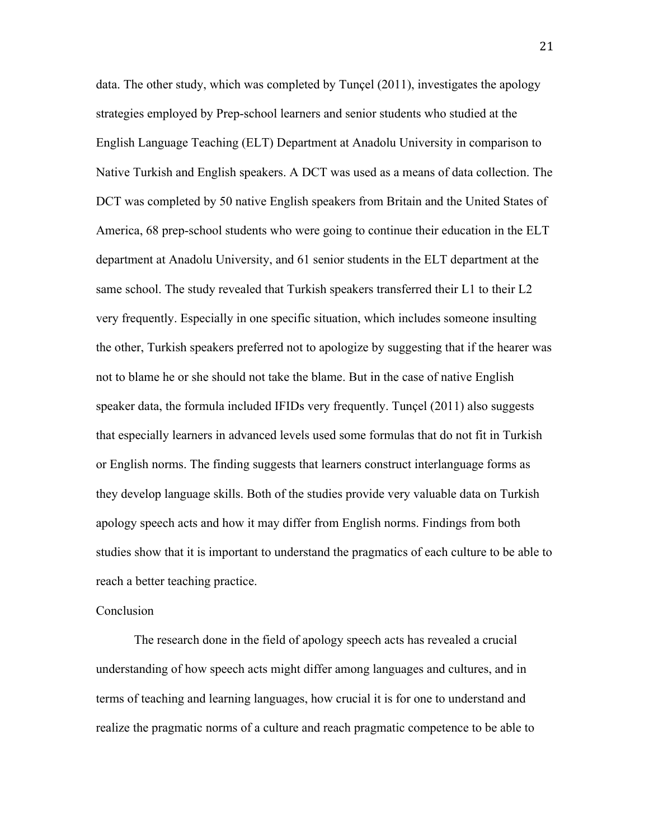data. The other study, which was completed by Tunçel (2011), investigates the apology strategies employed by Prep-school learners and senior students who studied at the English Language Teaching (ELT) Department at Anadolu University in comparison to Native Turkish and English speakers. A DCT was used as a means of data collection. The DCT was completed by 50 native English speakers from Britain and the United States of America, 68 prep-school students who were going to continue their education in the ELT department at Anadolu University, and 61 senior students in the ELT department at the same school. The study revealed that Turkish speakers transferred their L1 to their L2 very frequently. Especially in one specific situation, which includes someone insulting the other, Turkish speakers preferred not to apologize by suggesting that if the hearer was not to blame he or she should not take the blame. But in the case of native English speaker data, the formula included IFIDs very frequently. Tunçel (2011) also suggests that especially learners in advanced levels used some formulas that do not fit in Turkish or English norms. The finding suggests that learners construct interlanguage forms as they develop language skills. Both of the studies provide very valuable data on Turkish apology speech acts and how it may differ from English norms. Findings from both studies show that it is important to understand the pragmatics of each culture to be able to reach a better teaching practice.

#### Conclusion

The research done in the field of apology speech acts has revealed a crucial understanding of how speech acts might differ among languages and cultures, and in terms of teaching and learning languages, how crucial it is for one to understand and realize the pragmatic norms of a culture and reach pragmatic competence to be able to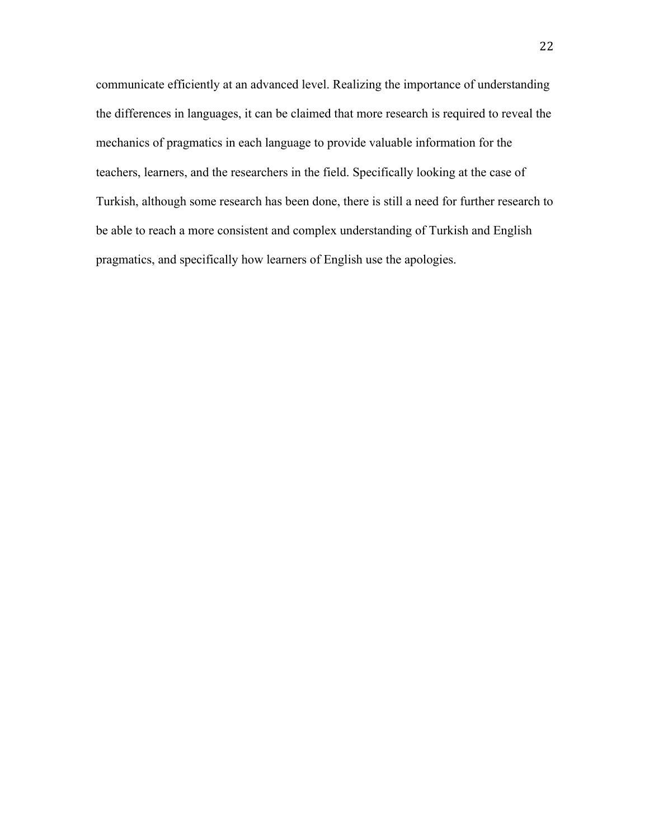communicate efficiently at an advanced level. Realizing the importance of understanding the differences in languages, it can be claimed that more research is required to reveal the mechanics of pragmatics in each language to provide valuable information for the teachers, learners, and the researchers in the field. Specifically looking at the case of Turkish, although some research has been done, there is still a need for further research to be able to reach a more consistent and complex understanding of Turkish and English pragmatics, and specifically how learners of English use the apologies.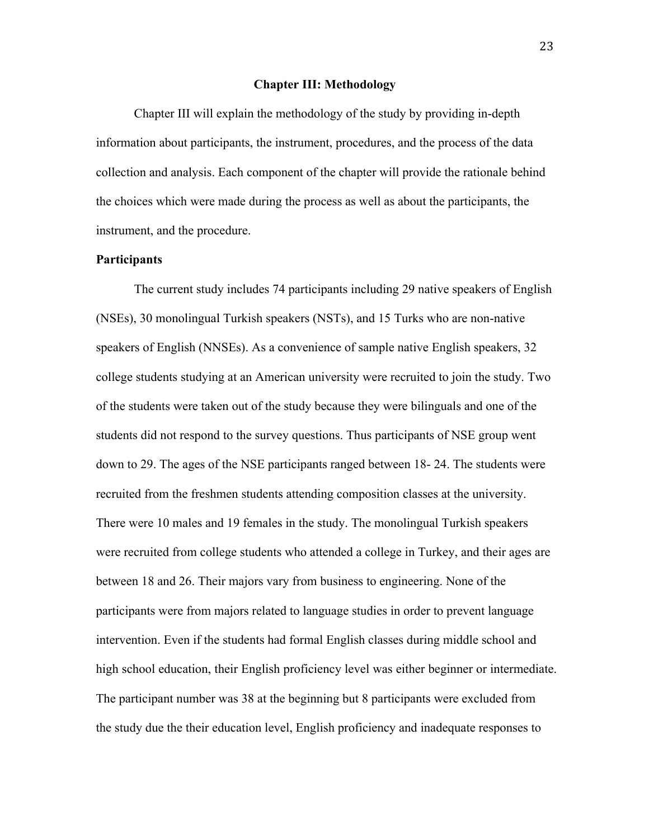#### **Chapter III: Methodology**

Chapter III will explain the methodology of the study by providing in-depth information about participants, the instrument, procedures, and the process of the data collection and analysis. Each component of the chapter will provide the rationale behind the choices which were made during the process as well as about the participants, the instrument, and the procedure.

#### **Participants**

The current study includes 74 participants including 29 native speakers of English (NSEs), 30 monolingual Turkish speakers (NSTs), and 15 Turks who are non-native speakers of English (NNSEs). As a convenience of sample native English speakers, 32 college students studying at an American university were recruited to join the study. Two of the students were taken out of the study because they were bilinguals and one of the students did not respond to the survey questions. Thus participants of NSE group went down to 29. The ages of the NSE participants ranged between 18- 24. The students were recruited from the freshmen students attending composition classes at the university. There were 10 males and 19 females in the study. The monolingual Turkish speakers were recruited from college students who attended a college in Turkey, and their ages are between 18 and 26. Their majors vary from business to engineering. None of the participants were from majors related to language studies in order to prevent language intervention. Even if the students had formal English classes during middle school and high school education, their English proficiency level was either beginner or intermediate. The participant number was 38 at the beginning but 8 participants were excluded from the study due the their education level, English proficiency and inadequate responses to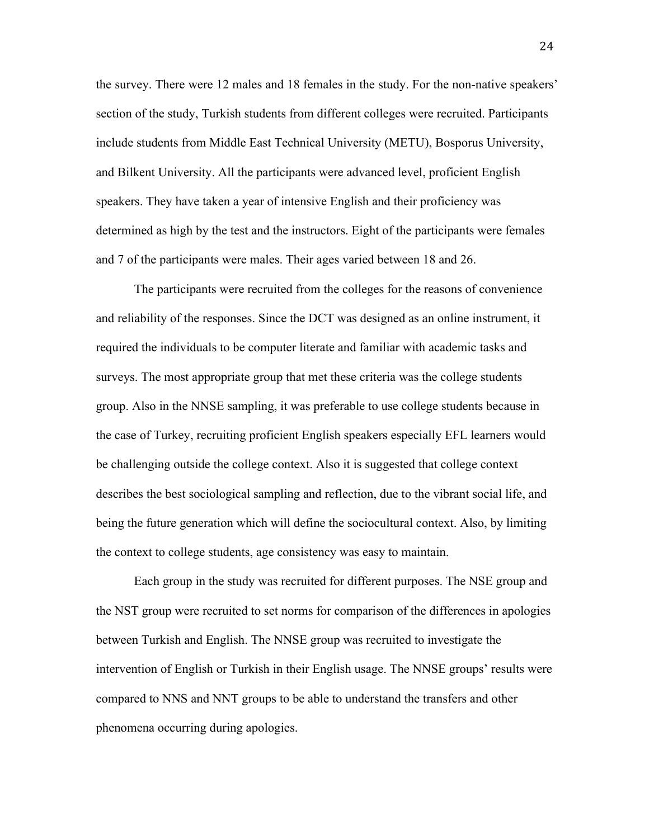the survey. There were 12 males and 18 females in the study. For the non-native speakers' section of the study, Turkish students from different colleges were recruited. Participants include students from Middle East Technical University (METU), Bosporus University, and Bilkent University. All the participants were advanced level, proficient English speakers. They have taken a year of intensive English and their proficiency was determined as high by the test and the instructors. Eight of the participants were females and 7 of the participants were males. Their ages varied between 18 and 26.

The participants were recruited from the colleges for the reasons of convenience and reliability of the responses. Since the DCT was designed as an online instrument, it required the individuals to be computer literate and familiar with academic tasks and surveys. The most appropriate group that met these criteria was the college students group. Also in the NNSE sampling, it was preferable to use college students because in the case of Turkey, recruiting proficient English speakers especially EFL learners would be challenging outside the college context. Also it is suggested that college context describes the best sociological sampling and reflection, due to the vibrant social life, and being the future generation which will define the sociocultural context. Also, by limiting the context to college students, age consistency was easy to maintain.

Each group in the study was recruited for different purposes. The NSE group and the NST group were recruited to set norms for comparison of the differences in apologies between Turkish and English. The NNSE group was recruited to investigate the intervention of English or Turkish in their English usage. The NNSE groups' results were compared to NNS and NNT groups to be able to understand the transfers and other phenomena occurring during apologies.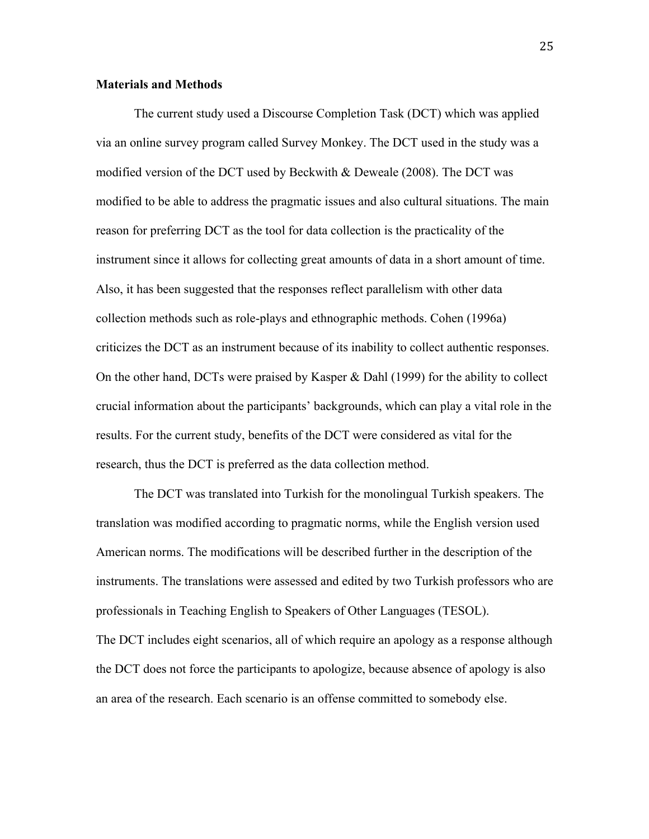#### **Materials and Methods**

The current study used a Discourse Completion Task (DCT) which was applied via an online survey program called Survey Monkey. The DCT used in the study was a modified version of the DCT used by Beckwith & Deweale (2008). The DCT was modified to be able to address the pragmatic issues and also cultural situations. The main reason for preferring DCT as the tool for data collection is the practicality of the instrument since it allows for collecting great amounts of data in a short amount of time. Also, it has been suggested that the responses reflect parallelism with other data collection methods such as role-plays and ethnographic methods. Cohen (1996a) criticizes the DCT as an instrument because of its inability to collect authentic responses. On the other hand, DCTs were praised by Kasper & Dahl (1999) for the ability to collect crucial information about the participants' backgrounds, which can play a vital role in the results. For the current study, benefits of the DCT were considered as vital for the research, thus the DCT is preferred as the data collection method.

The DCT was translated into Turkish for the monolingual Turkish speakers. The translation was modified according to pragmatic norms, while the English version used American norms. The modifications will be described further in the description of the instruments. The translations were assessed and edited by two Turkish professors who are professionals in Teaching English to Speakers of Other Languages (TESOL). The DCT includes eight scenarios, all of which require an apology as a response although the DCT does not force the participants to apologize, because absence of apology is also an area of the research. Each scenario is an offense committed to somebody else.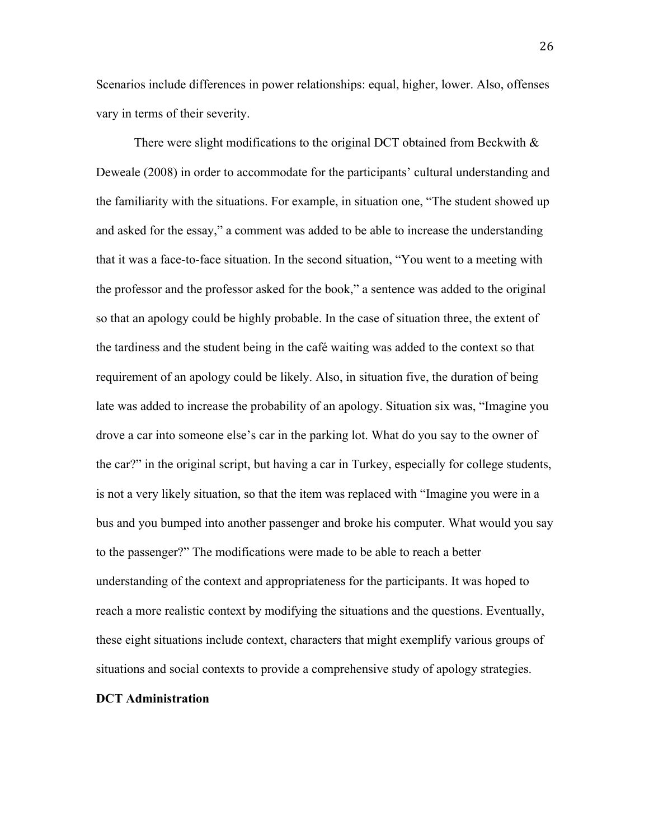Scenarios include differences in power relationships: equal, higher, lower. Also, offenses vary in terms of their severity.

There were slight modifications to the original DCT obtained from Beckwith  $\&$ Deweale (2008) in order to accommodate for the participants' cultural understanding and the familiarity with the situations. For example, in situation one, "The student showed up and asked for the essay," a comment was added to be able to increase the understanding that it was a face-to-face situation. In the second situation, "You went to a meeting with the professor and the professor asked for the book," a sentence was added to the original so that an apology could be highly probable. In the case of situation three, the extent of the tardiness and the student being in the café waiting was added to the context so that requirement of an apology could be likely. Also, in situation five, the duration of being late was added to increase the probability of an apology. Situation six was, "Imagine you drove a car into someone else's car in the parking lot. What do you say to the owner of the car?" in the original script, but having a car in Turkey, especially for college students, is not a very likely situation, so that the item was replaced with "Imagine you were in a bus and you bumped into another passenger and broke his computer. What would you say to the passenger?" The modifications were made to be able to reach a better understanding of the context and appropriateness for the participants. It was hoped to reach a more realistic context by modifying the situations and the questions. Eventually, these eight situations include context, characters that might exemplify various groups of situations and social contexts to provide a comprehensive study of apology strategies.

#### **DCT Administration**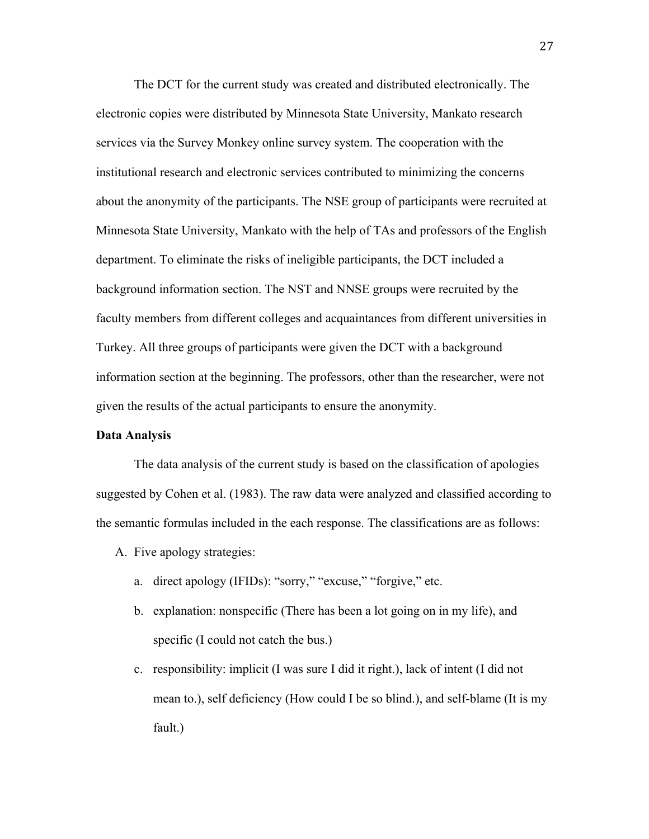The DCT for the current study was created and distributed electronically. The electronic copies were distributed by Minnesota State University, Mankato research services via the Survey Monkey online survey system. The cooperation with the institutional research and electronic services contributed to minimizing the concerns about the anonymity of the participants. The NSE group of participants were recruited at Minnesota State University, Mankato with the help of TAs and professors of the English department. To eliminate the risks of ineligible participants, the DCT included a background information section. The NST and NNSE groups were recruited by the faculty members from different colleges and acquaintances from different universities in Turkey. All three groups of participants were given the DCT with a background information section at the beginning. The professors, other than the researcher, were not given the results of the actual participants to ensure the anonymity.

#### **Data Analysis**

The data analysis of the current study is based on the classification of apologies suggested by Cohen et al. (1983). The raw data were analyzed and classified according to the semantic formulas included in the each response. The classifications are as follows:

- A. Five apology strategies:
	- a. direct apology (IFIDs): "sorry," "excuse," "forgive," etc.
	- b. explanation: nonspecific (There has been a lot going on in my life), and specific (I could not catch the bus.)
	- c. responsibility: implicit (I was sure I did it right.), lack of intent (I did not mean to.), self deficiency (How could I be so blind.), and self-blame (It is my fault.)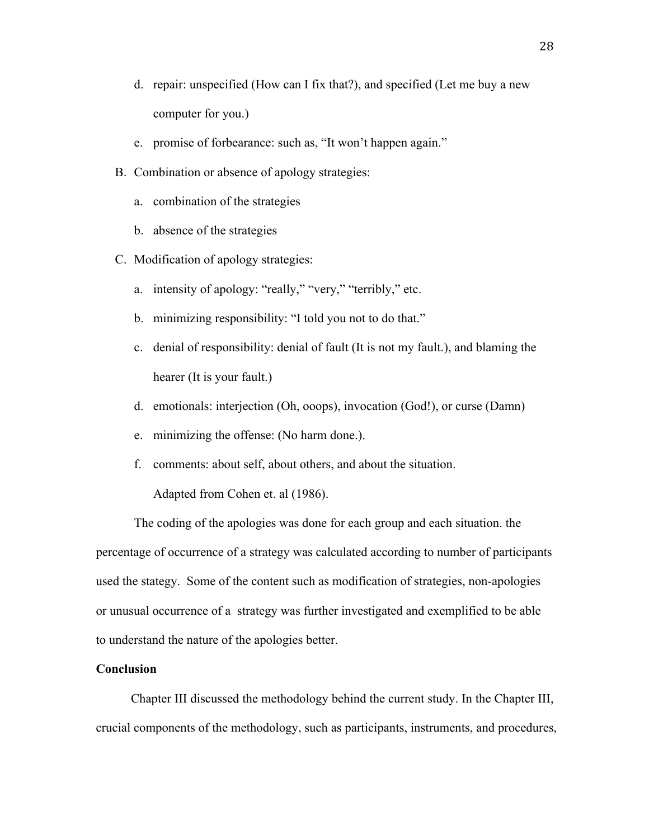- d. repair: unspecified (How can I fix that?), and specified (Let me buy a new computer for you.)
- e. promise of forbearance: such as, "It won't happen again."
- B. Combination or absence of apology strategies:
	- a. combination of the strategies
	- b. absence of the strategies
- C. Modification of apology strategies:
	- a. intensity of apology: "really," "very," "terribly," etc.
	- b. minimizing responsibility: "I told you not to do that."
	- c. denial of responsibility: denial of fault (It is not my fault.), and blaming the hearer (It is your fault.)
	- d. emotionals: interjection (Oh, ooops), invocation (God!), or curse (Damn)
	- e. minimizing the offense: (No harm done.).
	- f. comments: about self, about others, and about the situation.

Adapted from Cohen et. al (1986).

The coding of the apologies was done for each group and each situation. the percentage of occurrence of a strategy was calculated according to number of participants used the stategy. Some of the content such as modification of strategies, non-apologies or unusual occurrence of a strategy was further investigated and exemplified to be able to understand the nature of the apologies better.

#### **Conclusion**

Chapter III discussed the methodology behind the current study. In the Chapter III, crucial components of the methodology, such as participants, instruments, and procedures,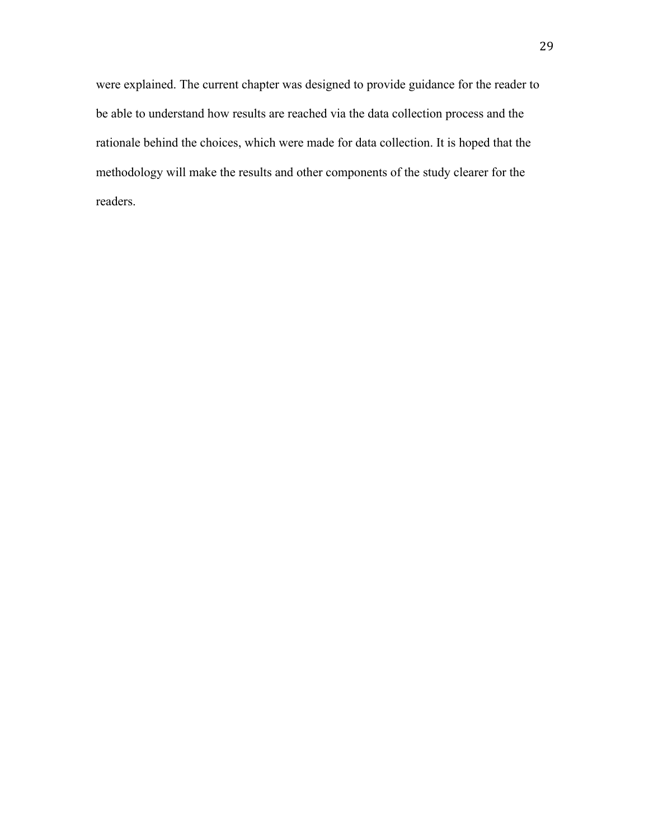were explained. The current chapter was designed to provide guidance for the reader to be able to understand how results are reached via the data collection process and the rationale behind the choices, which were made for data collection. It is hoped that the methodology will make the results and other components of the study clearer for the readers.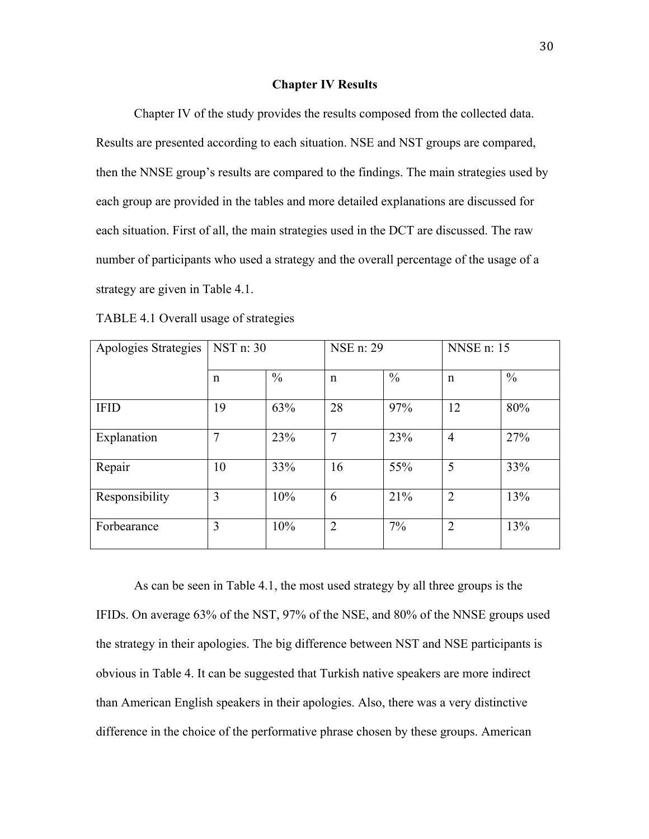#### **Chapter IV Results**

Chapter IV of the study provides the results composed from the collected data. Results are presented according to each situation. NSE and NST groups are compared, then the NNSE group's results are compared to the findings. The main strategies used by each group are provided in the tables and more detailed explanations are discussed for each situation. First of all, the main strategies used in the DCT are discussed. The raw number of participants who used a strategy and the overall percentage of the usage of a strategy are given in Table 4.1.

TABLE 4.1 Overall usage of strategies

| Apologies Strategies | NST n: 30 |               | NSE n: 29      |               | <b>NNSE</b> n: 15 |               |
|----------------------|-----------|---------------|----------------|---------------|-------------------|---------------|
|                      | n         | $\frac{0}{0}$ | $\mathbf n$    | $\frac{0}{0}$ | $\mathsf{n}$      | $\frac{0}{0}$ |
| <b>IFID</b>          | 19        | 63%           | 28             | 97%           | 12                | 80%           |
| Explanation          | 7         | 23%           | 7              | 23%           | $\overline{4}$    | 27%           |
| Repair               | 10        | 33%           | 16             | 55%           | 5                 | 33%           |
| Responsibility       | 3         | 10%           | 6              | 21%           | $\overline{2}$    | 13%           |
| Forbearance          | 3         | 10%           | $\overline{2}$ | $7\%$         | $\overline{2}$    | 13%           |

As can be seen in Table 4.1, the most used strategy by all three groups is the IFIDs. On average 63% of the NST, 97% of the NSE, and 80% of the NNSE groups used the strategy in their apologies. The big difference between NST and NSE participants is obvious in Table 4. It can be suggested that Turkish native speakers are more indirect than American English speakers in their apologies. Also, there was a very distinctive difference in the choice of the performative phrase chosen by these groups. American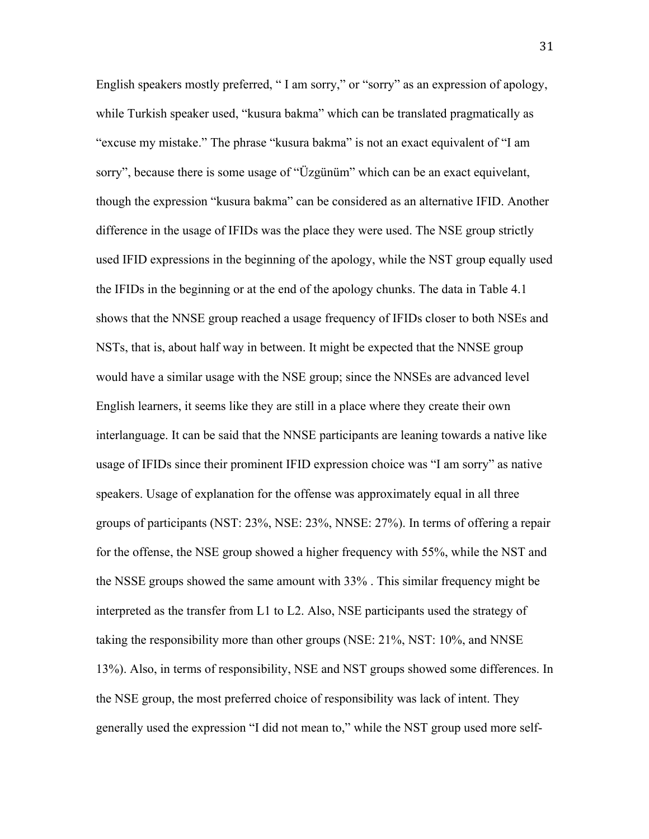English speakers mostly preferred, " I am sorry," or "sorry" as an expression of apology, while Turkish speaker used, "kusura bakma" which can be translated pragmatically as "excuse my mistake." The phrase "kusura bakma" is not an exact equivalent of "I am sorry", because there is some usage of "Üzgünüm" which can be an exact equivelant, though the expression "kusura bakma" can be considered as an alternative IFID. Another difference in the usage of IFIDs was the place they were used. The NSE group strictly used IFID expressions in the beginning of the apology, while the NST group equally used the IFIDs in the beginning or at the end of the apology chunks. The data in Table 4.1 shows that the NNSE group reached a usage frequency of IFIDs closer to both NSEs and NSTs, that is, about half way in between. It might be expected that the NNSE group would have a similar usage with the NSE group; since the NNSEs are advanced level English learners, it seems like they are still in a place where they create their own interlanguage. It can be said that the NNSE participants are leaning towards a native like usage of IFIDs since their prominent IFID expression choice was "I am sorry" as native speakers. Usage of explanation for the offense was approximately equal in all three groups of participants (NST: 23%, NSE: 23%, NNSE: 27%). In terms of offering a repair for the offense, the NSE group showed a higher frequency with 55%, while the NST and the NSSE groups showed the same amount with 33% . This similar frequency might be interpreted as the transfer from L1 to L2. Also, NSE participants used the strategy of taking the responsibility more than other groups (NSE: 21%, NST: 10%, and NNSE 13%). Also, in terms of responsibility, NSE and NST groups showed some differences. In the NSE group, the most preferred choice of responsibility was lack of intent. They generally used the expression "I did not mean to," while the NST group used more self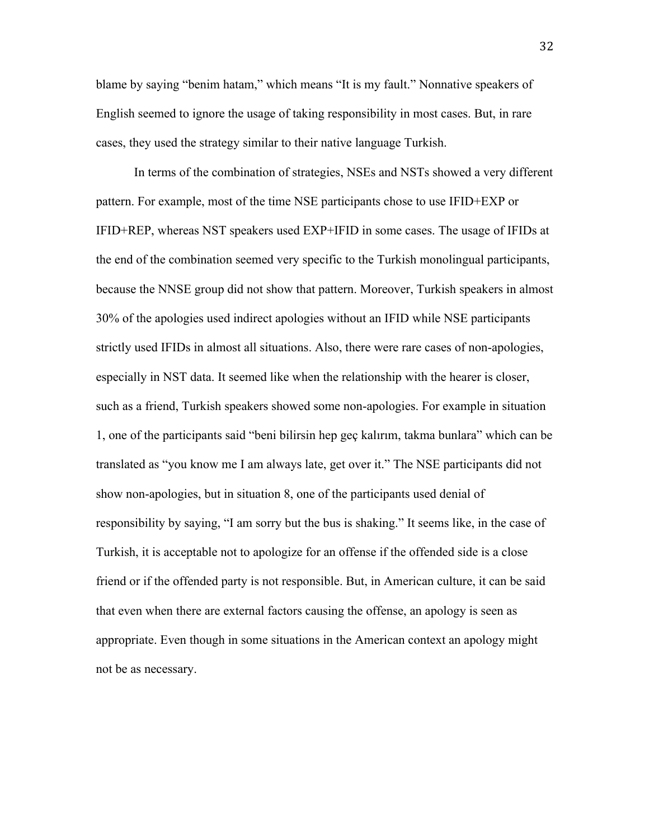blame by saying "benim hatam," which means "It is my fault." Nonnative speakers of English seemed to ignore the usage of taking responsibility in most cases. But, in rare cases, they used the strategy similar to their native language Turkish.

In terms of the combination of strategies, NSEs and NSTs showed a very different pattern. For example, most of the time NSE participants chose to use IFID+EXP or IFID+REP, whereas NST speakers used EXP+IFID in some cases. The usage of IFIDs at the end of the combination seemed very specific to the Turkish monolingual participants, because the NNSE group did not show that pattern. Moreover, Turkish speakers in almost 30% of the apologies used indirect apologies without an IFID while NSE participants strictly used IFIDs in almost all situations. Also, there were rare cases of non-apologies, especially in NST data. It seemed like when the relationship with the hearer is closer, such as a friend, Turkish speakers showed some non-apologies. For example in situation 1, one of the participants said "beni bilirsin hep geç kalırım, takma bunlara" which can be translated as "you know me I am always late, get over it." The NSE participants did not show non-apologies, but in situation 8, one of the participants used denial of responsibility by saying, "I am sorry but the bus is shaking." It seems like, in the case of Turkish, it is acceptable not to apologize for an offense if the offended side is a close friend or if the offended party is not responsible. But, in American culture, it can be said that even when there are external factors causing the offense, an apology is seen as appropriate. Even though in some situations in the American context an apology might not be as necessary.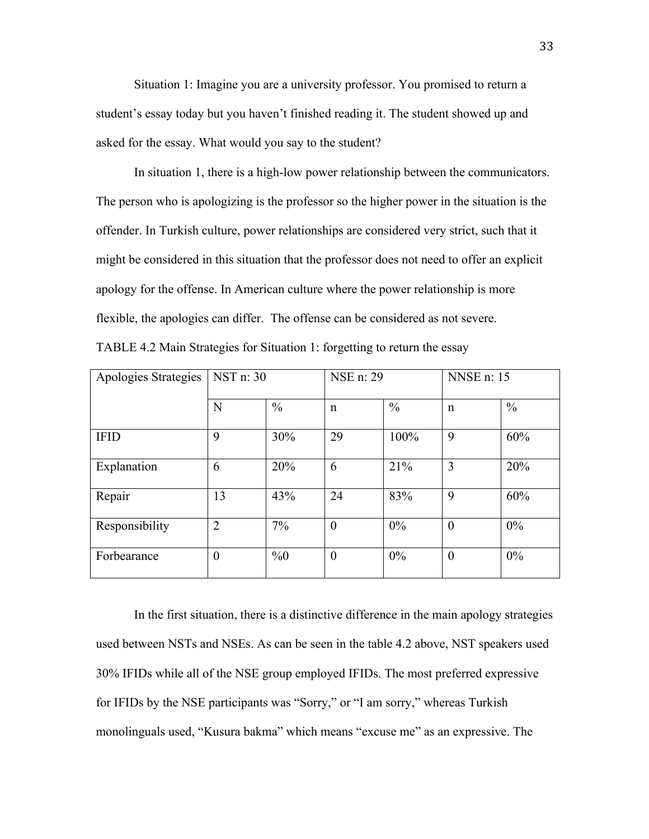Situation 1: Imagine you are a university professor. You promised to return a student's essay today but you haven't finished reading it. The student showed up and asked for the essay. What would you say to the student?

In situation 1, there is a high-low power relationship between the communicators. The person who is apologizing is the professor so the higher power in the situation is the offender. In Turkish culture, power relationships are considered very strict, such that it might be considered in this situation that the professor does not need to offer an explicit apology for the offense. In American culture where the power relationship is more flexible, the apologies can differ. The offense can be considered as not severe. TABLE 4.2 Main Strategies for Situation 1: forgetting to return the essay

| Apologies Strategies | NST n: 30        |               | NSE n: 29        |               | <b>NNSE</b> n: 15 |               |
|----------------------|------------------|---------------|------------------|---------------|-------------------|---------------|
|                      | N                | $\frac{0}{0}$ | $\mathbf n$      | $\frac{0}{0}$ | $\mathbf n$       | $\frac{0}{0}$ |
| <b>IFID</b>          | 9                | 30%           | 29               | 100%          | 9                 | 60%           |
| Explanation          | 6                | 20%           | 6                | 21%           | 3                 | 20%           |
| Repair               | 13               | 43%           | 24               | 83%           | 9                 | 60%           |
| Responsibility       | $\overline{2}$   | 7%            | $\overline{0}$   | 0%            | $\overline{0}$    | 0%            |
| Forbearance          | $\boldsymbol{0}$ | $\%0$         | $\boldsymbol{0}$ | 0%            | $\boldsymbol{0}$  | 0%            |

In the first situation, there is a distinctive difference in the main apology strategies used between NSTs and NSEs. As can be seen in the table 4.2 above, NST speakers used 30% IFIDs while all of the NSE group employed IFIDs. The most preferred expressive for IFIDs by the NSE participants was "Sorry," or "I am sorry," whereas Turkish monolinguals used, "Kusura bakma" which means "excuse me" as an expressive. The

33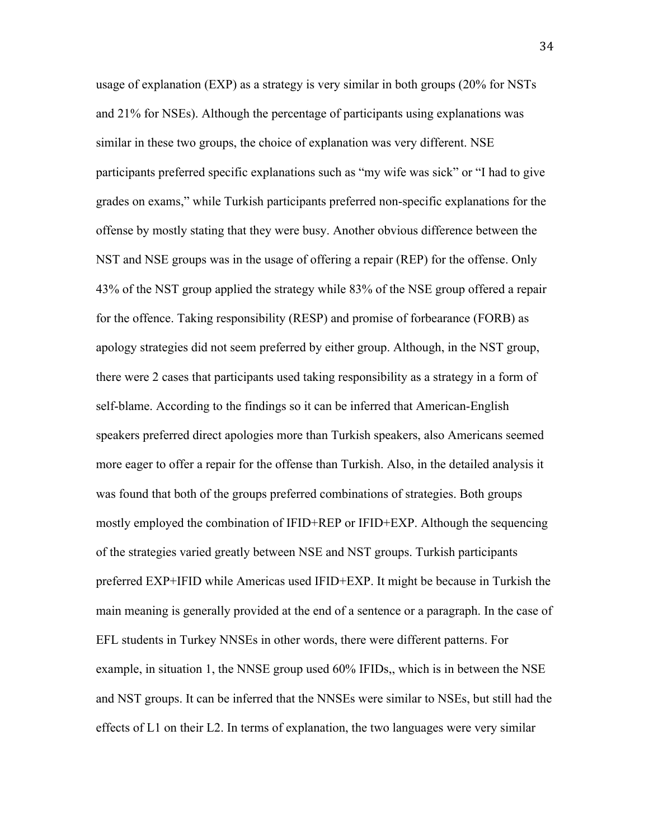usage of explanation (EXP) as a strategy is very similar in both groups (20% for NSTs and 21% for NSEs). Although the percentage of participants using explanations was similar in these two groups, the choice of explanation was very different. NSE participants preferred specific explanations such as "my wife was sick" or "I had to give grades on exams," while Turkish participants preferred non-specific explanations for the offense by mostly stating that they were busy. Another obvious difference between the NST and NSE groups was in the usage of offering a repair (REP) for the offense. Only 43% of the NST group applied the strategy while 83% of the NSE group offered a repair for the offence. Taking responsibility (RESP) and promise of forbearance (FORB) as apology strategies did not seem preferred by either group. Although, in the NST group, there were 2 cases that participants used taking responsibility as a strategy in a form of self-blame. According to the findings so it can be inferred that American-English speakers preferred direct apologies more than Turkish speakers, also Americans seemed more eager to offer a repair for the offense than Turkish. Also, in the detailed analysis it was found that both of the groups preferred combinations of strategies. Both groups mostly employed the combination of IFID+REP or IFID+EXP. Although the sequencing of the strategies varied greatly between NSE and NST groups. Turkish participants preferred EXP+IFID while Americas used IFID+EXP. It might be because in Turkish the main meaning is generally provided at the end of a sentence or a paragraph. In the case of EFL students in Turkey NNSEs in other words, there were different patterns. For example, in situation 1, the NNSE group used 60% IFIDs,, which is in between the NSE and NST groups. It can be inferred that the NNSEs were similar to NSEs, but still had the effects of L1 on their L2. In terms of explanation, the two languages were very similar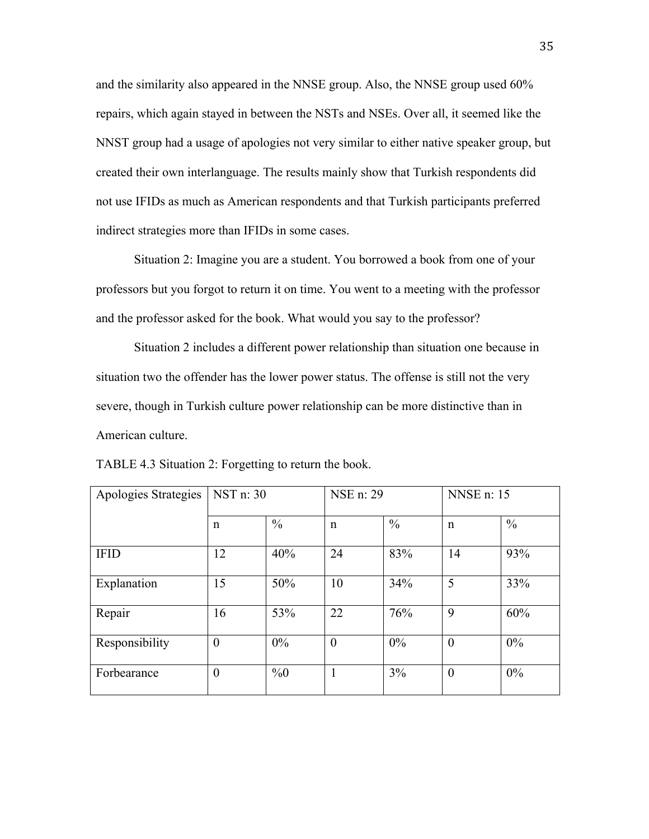and the similarity also appeared in the NNSE group. Also, the NNSE group used 60% repairs, which again stayed in between the NSTs and NSEs. Over all, it seemed like the NNST group had a usage of apologies not very similar to either native speaker group, but created their own interlanguage. The results mainly show that Turkish respondents did not use IFIDs as much as American respondents and that Turkish participants preferred indirect strategies more than IFIDs in some cases.

Situation 2: Imagine you are a student. You borrowed a book from one of your professors but you forgot to return it on time. You went to a meeting with the professor and the professor asked for the book. What would you say to the professor?

Situation 2 includes a different power relationship than situation one because in situation two the offender has the lower power status. The offense is still not the very severe, though in Turkish culture power relationship can be more distinctive than in American culture.

| Apologies Strategies | NST n: 30        |               | NSE n: 29      |               | <b>NNSE</b> n: 15 |               |
|----------------------|------------------|---------------|----------------|---------------|-------------------|---------------|
|                      | $\mathbf n$      | $\frac{0}{0}$ | $\mathbf n$    | $\frac{0}{0}$ | $\mathbf n$       | $\frac{0}{0}$ |
| <b>IFID</b>          | 12               | 40%           | 24             | 83%           | 14                | 93%           |
| Explanation          | 15               | 50%           | 10             | 34%           | 5                 | 33%           |
| Repair               | 16               | 53%           | 22             | 76%           | 9                 | 60%           |
| Responsibility       | $\overline{0}$   | 0%            | $\overline{0}$ | 0%            | $\overline{0}$    | 0%            |
| Forbearance          | $\boldsymbol{0}$ | $\%0$         |                | 3%            | $\overline{0}$    | 0%            |

TABLE 4.3 Situation 2: Forgetting to return the book.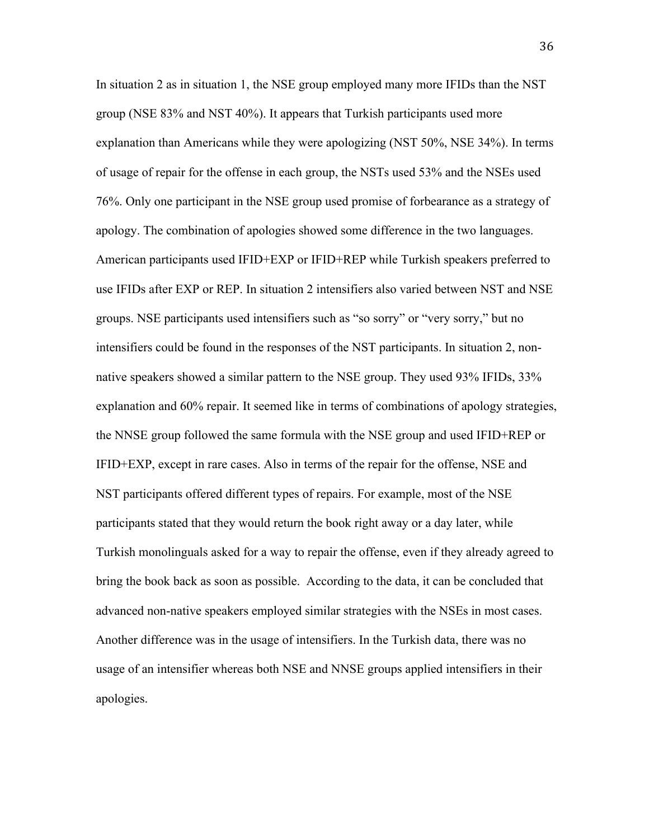In situation 2 as in situation 1, the NSE group employed many more IFIDs than the NST group (NSE 83% and NST 40%). It appears that Turkish participants used more explanation than Americans while they were apologizing (NST 50%, NSE 34%). In terms of usage of repair for the offense in each group, the NSTs used 53% and the NSEs used 76%. Only one participant in the NSE group used promise of forbearance as a strategy of apology. The combination of apologies showed some difference in the two languages. American participants used IFID+EXP or IFID+REP while Turkish speakers preferred to use IFIDs after EXP or REP. In situation 2 intensifiers also varied between NST and NSE groups. NSE participants used intensifiers such as "so sorry" or "very sorry," but no intensifiers could be found in the responses of the NST participants. In situation 2, nonnative speakers showed a similar pattern to the NSE group. They used 93% IFIDs, 33% explanation and 60% repair. It seemed like in terms of combinations of apology strategies, the NNSE group followed the same formula with the NSE group and used IFID+REP or IFID+EXP, except in rare cases. Also in terms of the repair for the offense, NSE and NST participants offered different types of repairs. For example, most of the NSE participants stated that they would return the book right away or a day later, while Turkish monolinguals asked for a way to repair the offense, even if they already agreed to bring the book back as soon as possible. According to the data, it can be concluded that advanced non-native speakers employed similar strategies with the NSEs in most cases. Another difference was in the usage of intensifiers. In the Turkish data, there was no usage of an intensifier whereas both NSE and NNSE groups applied intensifiers in their apologies.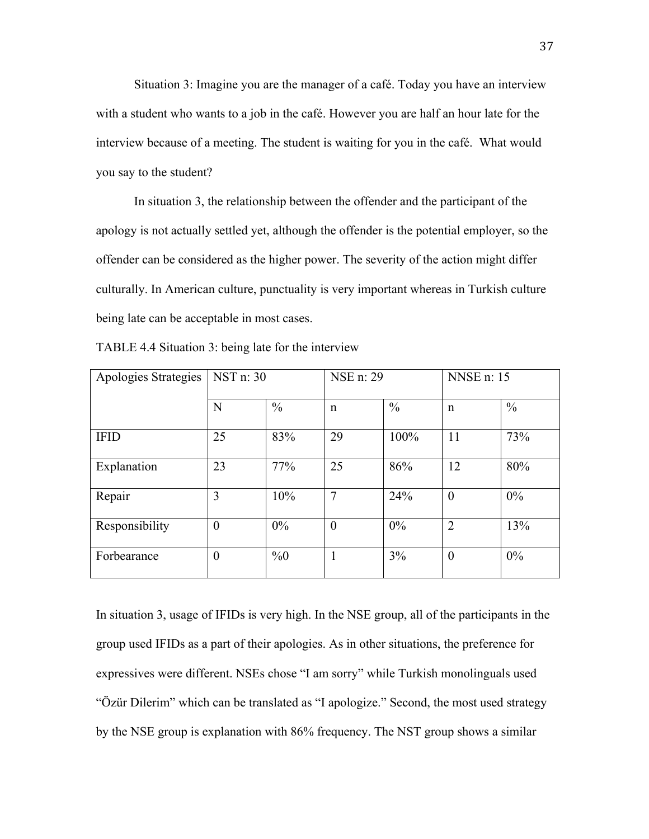Situation 3: Imagine you are the manager of a café. Today you have an interview with a student who wants to a job in the café. However you are half an hour late for the interview because of a meeting. The student is waiting for you in the café. What would you say to the student?

In situation 3, the relationship between the offender and the participant of the apology is not actually settled yet, although the offender is the potential employer, so the offender can be considered as the higher power. The severity of the action might differ culturally. In American culture, punctuality is very important whereas in Turkish culture being late can be acceptable in most cases.

| Apologies Strategies | NST n: 30        |               | NSE n: 29        |               | <b>NNSE</b> n: 15 |               |
|----------------------|------------------|---------------|------------------|---------------|-------------------|---------------|
|                      | N                | $\frac{0}{0}$ | $\mathbf n$      | $\frac{0}{0}$ | $\mathbf n$       | $\frac{0}{0}$ |
| <b>IFID</b>          | 25               | 83%           | 29               | 100%          | 11                | 73%           |
| Explanation          | 23               | 77%           | 25               | 86%           | 12                | 80%           |
| Repair               | 3                | 10%           | 7                | 24%           | $\overline{0}$    | $0\%$         |
| Responsibility       | $\boldsymbol{0}$ | 0%            | $\boldsymbol{0}$ | 0%            | $\overline{2}$    | 13%           |
| Forbearance          | $\boldsymbol{0}$ | $\%0$         |                  | 3%            | $\theta$          | $0\%$         |

TABLE 4.4 Situation 3: being late for the interview

In situation 3, usage of IFIDs is very high. In the NSE group, all of the participants in the group used IFIDs as a part of their apologies. As in other situations, the preference for expressives were different. NSEs chose "I am sorry" while Turkish monolinguals used "Özür Dilerim" which can be translated as "I apologize." Second, the most used strategy by the NSE group is explanation with 86% frequency. The NST group shows a similar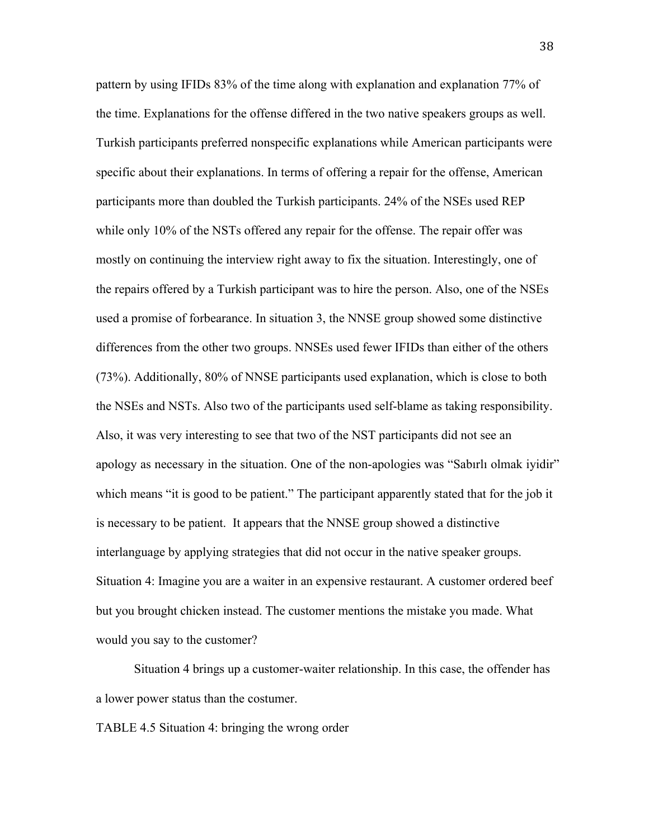pattern by using IFIDs 83% of the time along with explanation and explanation 77% of the time. Explanations for the offense differed in the two native speakers groups as well. Turkish participants preferred nonspecific explanations while American participants were specific about their explanations. In terms of offering a repair for the offense, American participants more than doubled the Turkish participants. 24% of the NSEs used REP while only 10% of the NSTs offered any repair for the offense. The repair offer was mostly on continuing the interview right away to fix the situation. Interestingly, one of the repairs offered by a Turkish participant was to hire the person. Also, one of the NSEs used a promise of forbearance. In situation 3, the NNSE group showed some distinctive differences from the other two groups. NNSEs used fewer IFIDs than either of the others (73%). Additionally, 80% of NNSE participants used explanation, which is close to both the NSEs and NSTs. Also two of the participants used self-blame as taking responsibility. Also, it was very interesting to see that two of the NST participants did not see an apology as necessary in the situation. One of the non-apologies was "Sabırlı olmak iyidir" which means "it is good to be patient." The participant apparently stated that for the job it is necessary to be patient. It appears that the NNSE group showed a distinctive interlanguage by applying strategies that did not occur in the native speaker groups. Situation 4: Imagine you are a waiter in an expensive restaurant. A customer ordered beef but you brought chicken instead. The customer mentions the mistake you made. What would you say to the customer?

Situation 4 brings up a customer-waiter relationship. In this case, the offender has a lower power status than the costumer.

TABLE 4.5 Situation 4: bringing the wrong order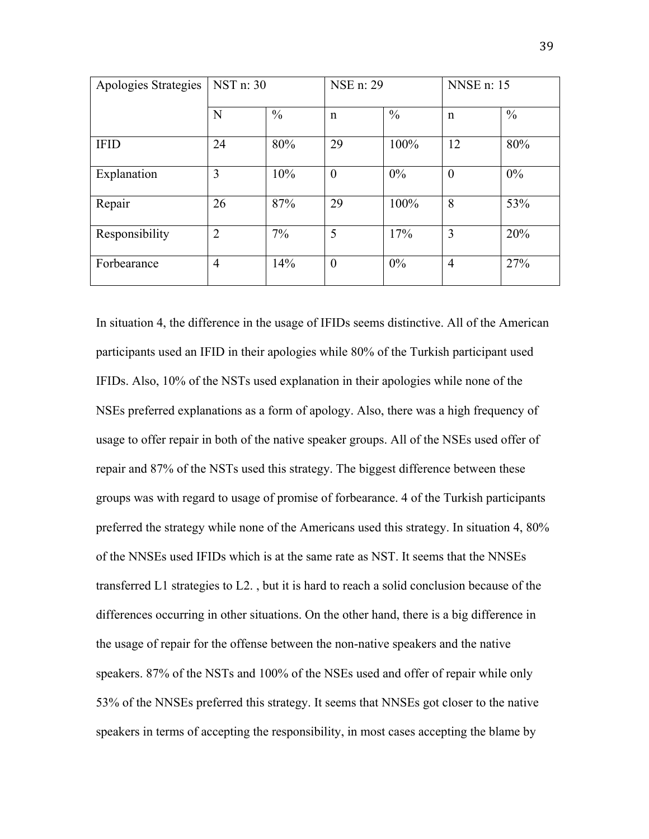| Apologies Strategies | NST n: 30      |               | NSE n: 29      |               | <b>NNSE</b> n: 15 |               |
|----------------------|----------------|---------------|----------------|---------------|-------------------|---------------|
|                      | N              | $\frac{0}{0}$ | $\mathbf n$    | $\frac{0}{0}$ | $\mathbf n$       | $\frac{0}{0}$ |
| <b>IFID</b>          | 24             | 80%           | 29             | 100%          | 12                | 80%           |
| Explanation          | 3              | 10%           | $\overline{0}$ | 0%            | $\boldsymbol{0}$  | 0%            |
| Repair               | 26             | 87%           | 29             | 100%          | 8                 | 53%           |
| Responsibility       | $\overline{2}$ | 7%            | 5              | 17%           | 3                 | 20%           |
| Forbearance          | $\overline{4}$ | 14%           | $\overline{0}$ | 0%            | $\overline{4}$    | 27%           |

In situation 4, the difference in the usage of IFIDs seems distinctive. All of the American participants used an IFID in their apologies while 80% of the Turkish participant used IFIDs. Also, 10% of the NSTs used explanation in their apologies while none of the NSEs preferred explanations as a form of apology. Also, there was a high frequency of usage to offer repair in both of the native speaker groups. All of the NSEs used offer of repair and 87% of the NSTs used this strategy. The biggest difference between these groups was with regard to usage of promise of forbearance. 4 of the Turkish participants preferred the strategy while none of the Americans used this strategy. In situation 4, 80% of the NNSEs used IFIDs which is at the same rate as NST. It seems that the NNSEs transferred L1 strategies to L2. , but it is hard to reach a solid conclusion because of the differences occurring in other situations. On the other hand, there is a big difference in the usage of repair for the offense between the non-native speakers and the native speakers. 87% of the NSTs and 100% of the NSEs used and offer of repair while only 53% of the NNSEs preferred this strategy. It seems that NNSEs got closer to the native speakers in terms of accepting the responsibility, in most cases accepting the blame by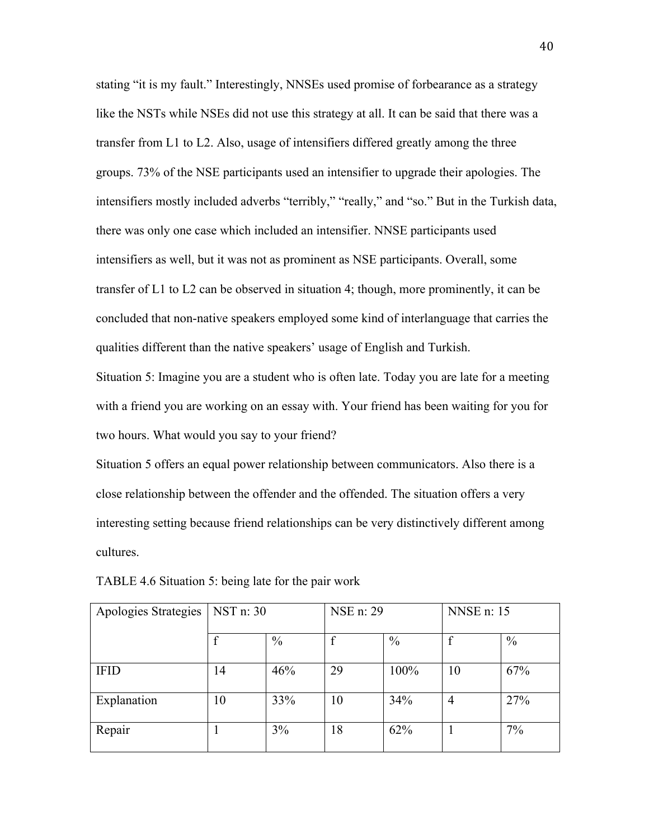stating "it is my fault." Interestingly, NNSEs used promise of forbearance as a strategy like the NSTs while NSEs did not use this strategy at all. It can be said that there was a transfer from L1 to L2. Also, usage of intensifiers differed greatly among the three groups. 73% of the NSE participants used an intensifier to upgrade their apologies. The intensifiers mostly included adverbs "terribly," "really," and "so." But in the Turkish data, there was only one case which included an intensifier. NNSE participants used intensifiers as well, but it was not as prominent as NSE participants. Overall, some transfer of L1 to L2 can be observed in situation 4; though, more prominently, it can be concluded that non-native speakers employed some kind of interlanguage that carries the qualities different than the native speakers' usage of English and Turkish.

Situation 5: Imagine you are a student who is often late. Today you are late for a meeting with a friend you are working on an essay with. Your friend has been waiting for you for two hours. What would you say to your friend?

Situation 5 offers an equal power relationship between communicators. Also there is a close relationship between the offender and the offended. The situation offers a very interesting setting because friend relationships can be very distinctively different among cultures.

| Apologies Strategies | NST n: 30 |               | NSE n: 29 |               | <b>NNSE</b> n: 15 |               |
|----------------------|-----------|---------------|-----------|---------------|-------------------|---------------|
|                      |           | $\frac{0}{0}$ |           | $\frac{0}{0}$ |                   | $\frac{0}{0}$ |
| <b>IFID</b>          | 14        | 46%           | 29        | 100%          | 10                | 67%           |
| Explanation          | 10        | 33%           | 10        | 34%           | 4                 | 27%           |
| Repair               |           | 3%            | 18        | 62%           |                   | $7\%$         |

TABLE 4.6 Situation 5: being late for the pair work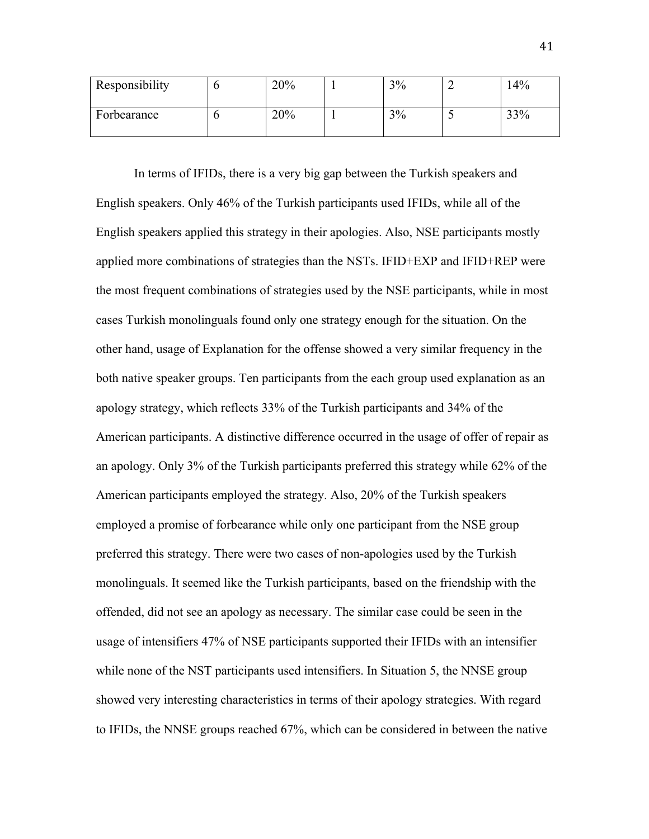| Responsibility | 20% | 3% |                          | 4%  |
|----------------|-----|----|--------------------------|-----|
| Forbearance    | 20% | 3% | $\overline{\phantom{0}}$ | 33% |

In terms of IFIDs, there is a very big gap between the Turkish speakers and English speakers. Only 46% of the Turkish participants used IFIDs, while all of the English speakers applied this strategy in their apologies. Also, NSE participants mostly applied more combinations of strategies than the NSTs. IFID+EXP and IFID+REP were the most frequent combinations of strategies used by the NSE participants, while in most cases Turkish monolinguals found only one strategy enough for the situation. On the other hand, usage of Explanation for the offense showed a very similar frequency in the both native speaker groups. Ten participants from the each group used explanation as an apology strategy, which reflects 33% of the Turkish participants and 34% of the American participants. A distinctive difference occurred in the usage of offer of repair as an apology. Only 3% of the Turkish participants preferred this strategy while 62% of the American participants employed the strategy. Also, 20% of the Turkish speakers employed a promise of forbearance while only one participant from the NSE group preferred this strategy. There were two cases of non-apologies used by the Turkish monolinguals. It seemed like the Turkish participants, based on the friendship with the offended, did not see an apology as necessary. The similar case could be seen in the usage of intensifiers 47% of NSE participants supported their IFIDs with an intensifier while none of the NST participants used intensifiers. In Situation 5, the NNSE group showed very interesting characteristics in terms of their apology strategies. With regard to IFIDs, the NNSE groups reached 67%, which can be considered in between the native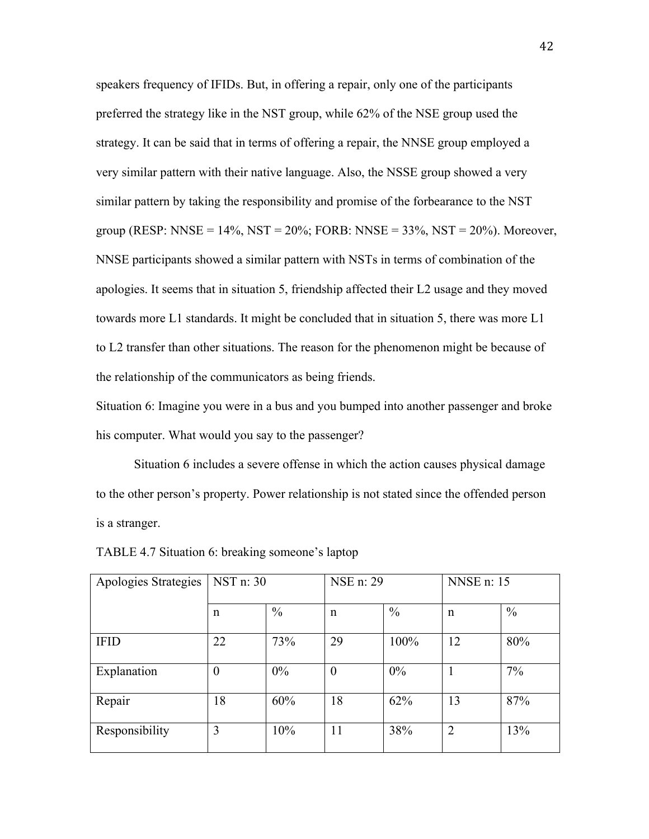speakers frequency of IFIDs. But, in offering a repair, only one of the participants preferred the strategy like in the NST group, while 62% of the NSE group used the strategy. It can be said that in terms of offering a repair, the NNSE group employed a very similar pattern with their native language. Also, the NSSE group showed a very similar pattern by taking the responsibility and promise of the forbearance to the NST group (RESP: NNSE =  $14\%$ , NST =  $20\%$ ; FORB: NNSE =  $33\%$ , NST =  $20\%$ ). Moreover, NNSE participants showed a similar pattern with NSTs in terms of combination of the apologies. It seems that in situation 5, friendship affected their L2 usage and they moved towards more L1 standards. It might be concluded that in situation 5, there was more L1 to L2 transfer than other situations. The reason for the phenomenon might be because of the relationship of the communicators as being friends.

Situation 6: Imagine you were in a bus and you bumped into another passenger and broke his computer. What would you say to the passenger?

Situation 6 includes a severe offense in which the action causes physical damage to the other person's property. Power relationship is not stated since the offended person is a stranger.

| Apologies Strategies | NST n: 30        |               | NSE n: 29        |               | <b>NNSE</b> n: 15 |               |
|----------------------|------------------|---------------|------------------|---------------|-------------------|---------------|
|                      | n                | $\frac{0}{0}$ | $\mathsf{n}$     | $\frac{0}{0}$ | $\mathsf{n}$      | $\frac{0}{0}$ |
| <b>IFID</b>          | 22               | 73%           | 29               | 100%          | 12                | 80%           |
| Explanation          | $\boldsymbol{0}$ | 0%            | $\boldsymbol{0}$ | 0%            |                   | 7%            |
| Repair               | 18               | 60%           | 18               | 62%           | 13                | 87%           |
| Responsibility       | 3                | 10%           | 11               | 38%           | $\overline{2}$    | 13%           |

TABLE 4.7 Situation 6: breaking someone's laptop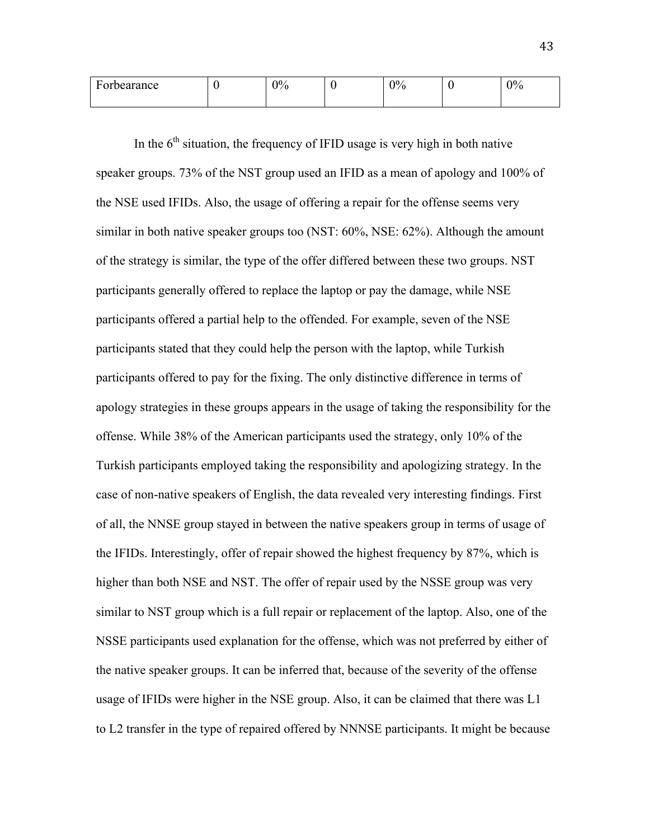| $\overline{\phantom{0}}$<br>bearance:<br>н٨<br>T OT | $\gamma_{0/2}$ | $\Omega$<br>′0<br>v | ъ. | $\gamma_{0/2}$ |
|-----------------------------------------------------|----------------|---------------------|----|----------------|
|                                                     |                |                     |    |                |

In the  $6<sup>th</sup>$  situation, the frequency of IFID usage is very high in both native speaker groups. 73% of the NST group used an IFID as a mean of apology and 100% of the NSE used IFIDs. Also, the usage of offering a repair for the offense seems very similar in both native speaker groups too (NST: 60%, NSE: 62%). Although the amount of the strategy is similar, the type of the offer differed between these two groups. NST participants generally offered to replace the laptop or pay the damage, while NSE participants offered a partial help to the offended. For example, seven of the NSE participants stated that they could help the person with the laptop, while Turkish participants offered to pay for the fixing. The only distinctive difference in terms of apology strategies in these groups appears in the usage of taking the responsibility for the offense. While 38% of the American participants used the strategy, only 10% of the Turkish participants employed taking the responsibility and apologizing strategy. In the case of non-native speakers of English, the data revealed very interesting findings. First of all, the NNSE group stayed in between the native speakers group in terms of usage of the IFIDs. Interestingly, offer of repair showed the highest frequency by 87%, which is higher than both NSE and NST. The offer of repair used by the NSSE group was very similar to NST group which is a full repair or replacement of the laptop. Also, one of the NSSE participants used explanation for the offense, which was not preferred by either of the native speaker groups. It can be inferred that, because of the severity of the offense usage of IFIDs were higher in the NSE group. Also, it can be claimed that there was L1 to L2 transfer in the type of repaired offered by NNNSE participants. It might be because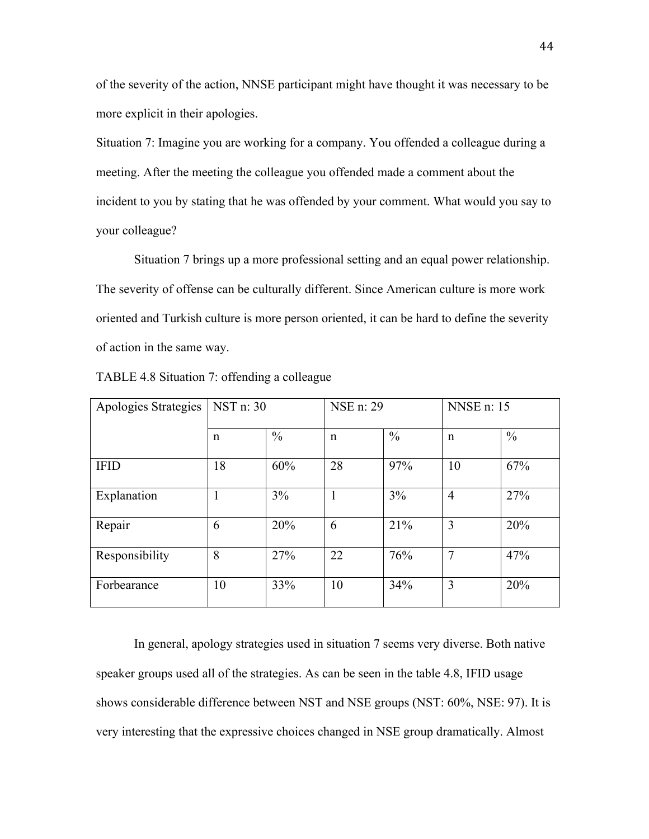of the severity of the action, NNSE participant might have thought it was necessary to be more explicit in their apologies.

Situation 7: Imagine you are working for a company. You offended a colleague during a meeting. After the meeting the colleague you offended made a comment about the incident to you by stating that he was offended by your comment. What would you say to your colleague?

Situation 7 brings up a more professional setting and an equal power relationship. The severity of offense can be culturally different. Since American culture is more work oriented and Turkish culture is more person oriented, it can be hard to define the severity of action in the same way.

| Apologies Strategies | NST n: 30 |               | NSE n: 29   |               | <b>NNSE</b> n: 15 |               |
|----------------------|-----------|---------------|-------------|---------------|-------------------|---------------|
|                      | n         | $\frac{0}{0}$ | $\mathbf n$ | $\frac{0}{0}$ | $\mathbf n$       | $\frac{0}{0}$ |
| <b>IFID</b>          | 18        | 60%           | 28          | 97%           | 10                | 67%           |
| Explanation          | 1         | 3%            | 1           | 3%            | $\overline{4}$    | 27%           |
| Repair               | 6         | 20%           | 6           | 21%           | 3                 | 20%           |
| Responsibility       | 8         | 27%           | 22          | 76%           | 7                 | 47%           |
| Forbearance          | 10        | 33%           | 10          | 34%           | 3                 | 20%           |

TABLE 4.8 Situation 7: offending a colleague

In general, apology strategies used in situation 7 seems very diverse. Both native speaker groups used all of the strategies. As can be seen in the table 4.8, IFID usage shows considerable difference between NST and NSE groups (NST: 60%, NSE: 97). It is very interesting that the expressive choices changed in NSE group dramatically. Almost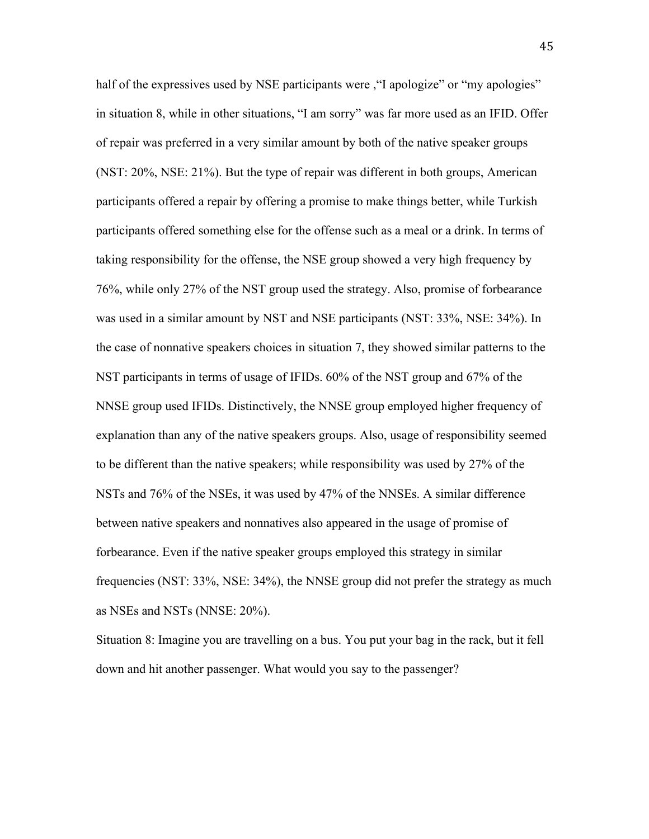half of the expressives used by NSE participants were , "I apologize" or "my apologies" in situation 8, while in other situations, "I am sorry" was far more used as an IFID. Offer of repair was preferred in a very similar amount by both of the native speaker groups (NST: 20%, NSE: 21%). But the type of repair was different in both groups, American participants offered a repair by offering a promise to make things better, while Turkish participants offered something else for the offense such as a meal or a drink. In terms of taking responsibility for the offense, the NSE group showed a very high frequency by 76%, while only 27% of the NST group used the strategy. Also, promise of forbearance was used in a similar amount by NST and NSE participants (NST: 33%, NSE: 34%). In the case of nonnative speakers choices in situation 7, they showed similar patterns to the NST participants in terms of usage of IFIDs. 60% of the NST group and 67% of the NNSE group used IFIDs. Distinctively, the NNSE group employed higher frequency of explanation than any of the native speakers groups. Also, usage of responsibility seemed to be different than the native speakers; while responsibility was used by 27% of the NSTs and 76% of the NSEs, it was used by 47% of the NNSEs. A similar difference between native speakers and nonnatives also appeared in the usage of promise of forbearance. Even if the native speaker groups employed this strategy in similar frequencies (NST: 33%, NSE: 34%), the NNSE group did not prefer the strategy as much as NSEs and NSTs (NNSE: 20%).

Situation 8: Imagine you are travelling on a bus. You put your bag in the rack, but it fell down and hit another passenger. What would you say to the passenger?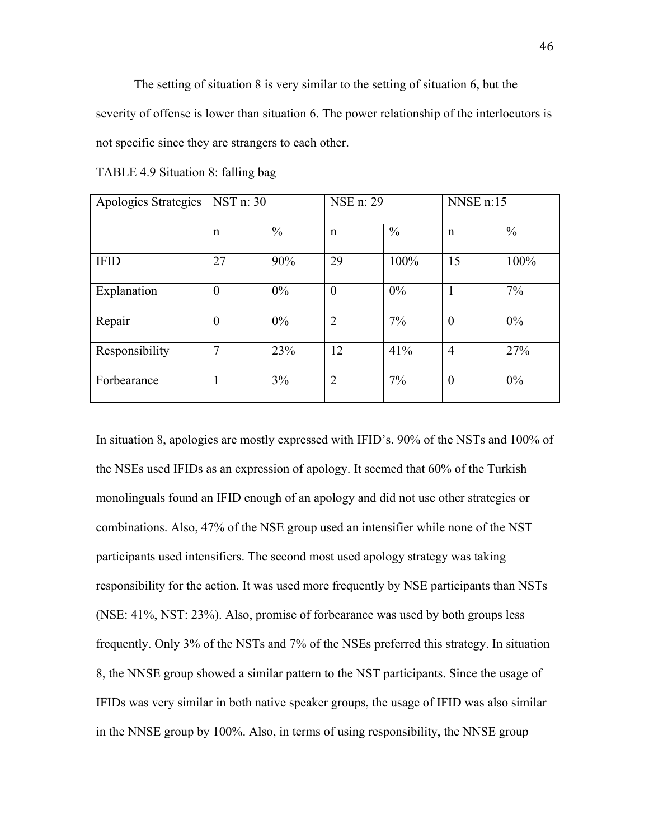The setting of situation 8 is very similar to the setting of situation 6, but the severity of offense is lower than situation 6. The power relationship of the interlocutors is not specific since they are strangers to each other.

| Apologies Strategies | NST n: 30   |               | NSE n: 29      |               | NNSE n:15      |               |
|----------------------|-------------|---------------|----------------|---------------|----------------|---------------|
|                      | $\mathbf n$ | $\frac{0}{0}$ | $\mathbf n$    | $\frac{0}{0}$ | $\mathbf n$    | $\frac{0}{0}$ |
| <b>IFID</b>          | 27          | 90%           | 29             | 100%          | 15             | 100%          |
| Explanation          | $\theta$    | 0%            | $\overline{0}$ | 0%            | 1              | 7%            |
| Repair               | $\theta$    | 0%            | $\overline{2}$ | 7%            | $\overline{0}$ | 0%            |
| Responsibility       | 7           | 23%           | 12             | 41%           | $\overline{4}$ | 27%           |
| Forbearance          |             | 3%            | 2              | 7%            | $\theta$       | 0%            |

TABLE 4.9 Situation 8: falling bag

In situation 8, apologies are mostly expressed with IFID's. 90% of the NSTs and 100% of the NSEs used IFIDs as an expression of apology. It seemed that 60% of the Turkish monolinguals found an IFID enough of an apology and did not use other strategies or combinations. Also, 47% of the NSE group used an intensifier while none of the NST participants used intensifiers. The second most used apology strategy was taking responsibility for the action. It was used more frequently by NSE participants than NSTs (NSE: 41%, NST: 23%). Also, promise of forbearance was used by both groups less frequently. Only 3% of the NSTs and 7% of the NSEs preferred this strategy. In situation 8, the NNSE group showed a similar pattern to the NST participants. Since the usage of IFIDs was very similar in both native speaker groups, the usage of IFID was also similar in the NNSE group by 100%. Also, in terms of using responsibility, the NNSE group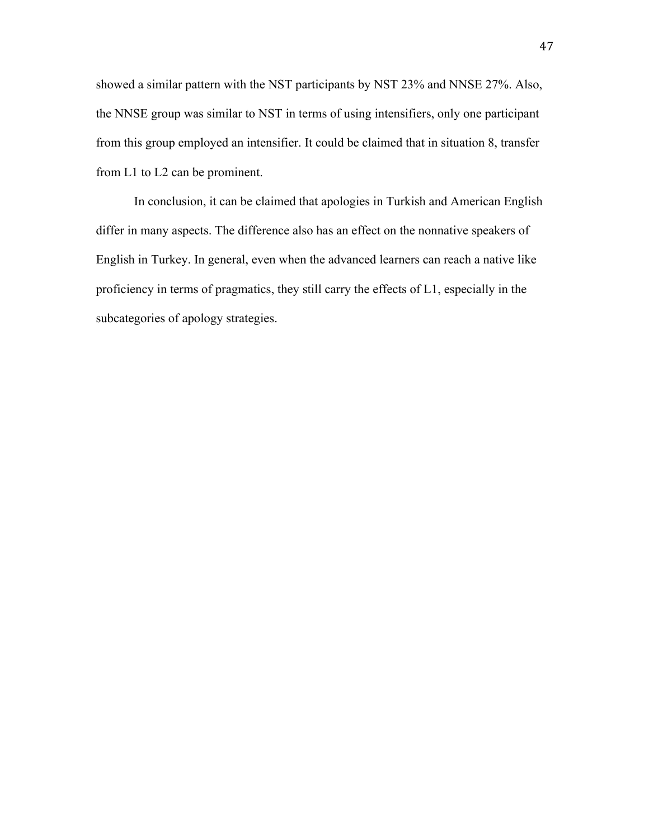showed a similar pattern with the NST participants by NST 23% and NNSE 27%. Also, the NNSE group was similar to NST in terms of using intensifiers, only one participant from this group employed an intensifier. It could be claimed that in situation 8, transfer from L1 to L2 can be prominent.

In conclusion, it can be claimed that apologies in Turkish and American English differ in many aspects. The difference also has an effect on the nonnative speakers of English in Turkey. In general, even when the advanced learners can reach a native like proficiency in terms of pragmatics, they still carry the effects of L1, especially in the subcategories of apology strategies.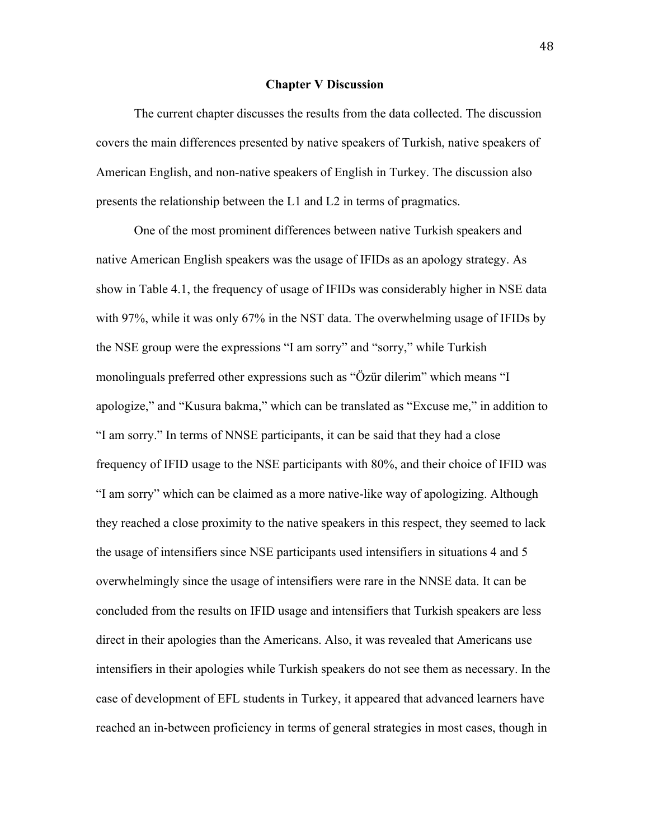#### **Chapter V Discussion**

The current chapter discusses the results from the data collected. The discussion covers the main differences presented by native speakers of Turkish, native speakers of American English, and non-native speakers of English in Turkey. The discussion also presents the relationship between the L1 and L2 in terms of pragmatics.

One of the most prominent differences between native Turkish speakers and native American English speakers was the usage of IFIDs as an apology strategy. As show in Table 4.1, the frequency of usage of IFIDs was considerably higher in NSE data with 97%, while it was only 67% in the NST data. The overwhelming usage of IFIDs by the NSE group were the expressions "I am sorry" and "sorry," while Turkish monolinguals preferred other expressions such as "Özür dilerim" which means "I apologize," and "Kusura bakma," which can be translated as "Excuse me," in addition to "I am sorry." In terms of NNSE participants, it can be said that they had a close frequency of IFID usage to the NSE participants with 80%, and their choice of IFID was "I am sorry" which can be claimed as a more native-like way of apologizing. Although they reached a close proximity to the native speakers in this respect, they seemed to lack the usage of intensifiers since NSE participants used intensifiers in situations 4 and 5 overwhelmingly since the usage of intensifiers were rare in the NNSE data. It can be concluded from the results on IFID usage and intensifiers that Turkish speakers are less direct in their apologies than the Americans. Also, it was revealed that Americans use intensifiers in their apologies while Turkish speakers do not see them as necessary. In the case of development of EFL students in Turkey, it appeared that advanced learners have reached an in-between proficiency in terms of general strategies in most cases, though in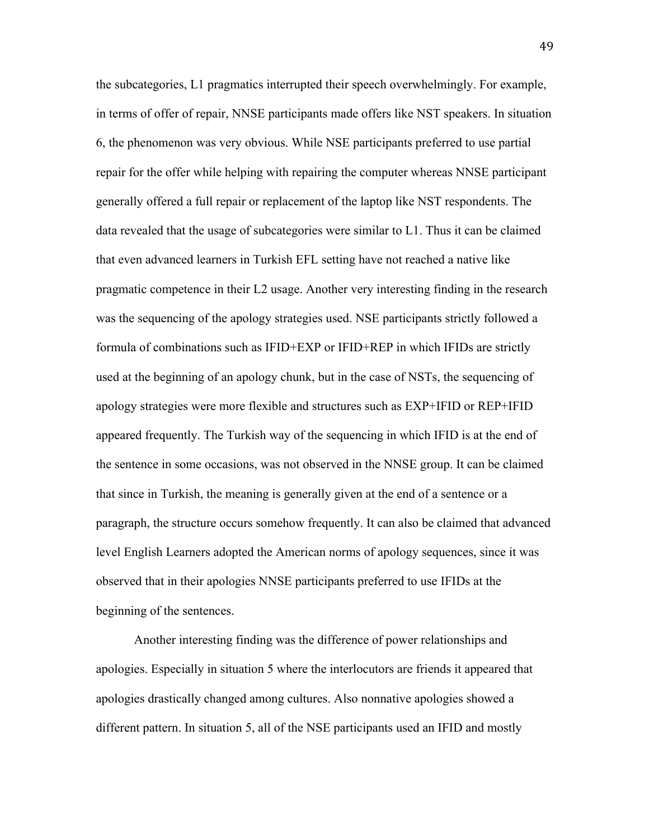the subcategories, L1 pragmatics interrupted their speech overwhelmingly. For example, in terms of offer of repair, NNSE participants made offers like NST speakers. In situation 6, the phenomenon was very obvious. While NSE participants preferred to use partial repair for the offer while helping with repairing the computer whereas NNSE participant generally offered a full repair or replacement of the laptop like NST respondents. The data revealed that the usage of subcategories were similar to L1. Thus it can be claimed that even advanced learners in Turkish EFL setting have not reached a native like pragmatic competence in their L2 usage. Another very interesting finding in the research was the sequencing of the apology strategies used. NSE participants strictly followed a formula of combinations such as IFID+EXP or IFID+REP in which IFIDs are strictly used at the beginning of an apology chunk, but in the case of NSTs, the sequencing of apology strategies were more flexible and structures such as EXP+IFID or REP+IFID appeared frequently. The Turkish way of the sequencing in which IFID is at the end of the sentence in some occasions, was not observed in the NNSE group. It can be claimed that since in Turkish, the meaning is generally given at the end of a sentence or a paragraph, the structure occurs somehow frequently. It can also be claimed that advanced level English Learners adopted the American norms of apology sequences, since it was observed that in their apologies NNSE participants preferred to use IFIDs at the beginning of the sentences.

Another interesting finding was the difference of power relationships and apologies. Especially in situation 5 where the interlocutors are friends it appeared that apologies drastically changed among cultures. Also nonnative apologies showed a different pattern. In situation 5, all of the NSE participants used an IFID and mostly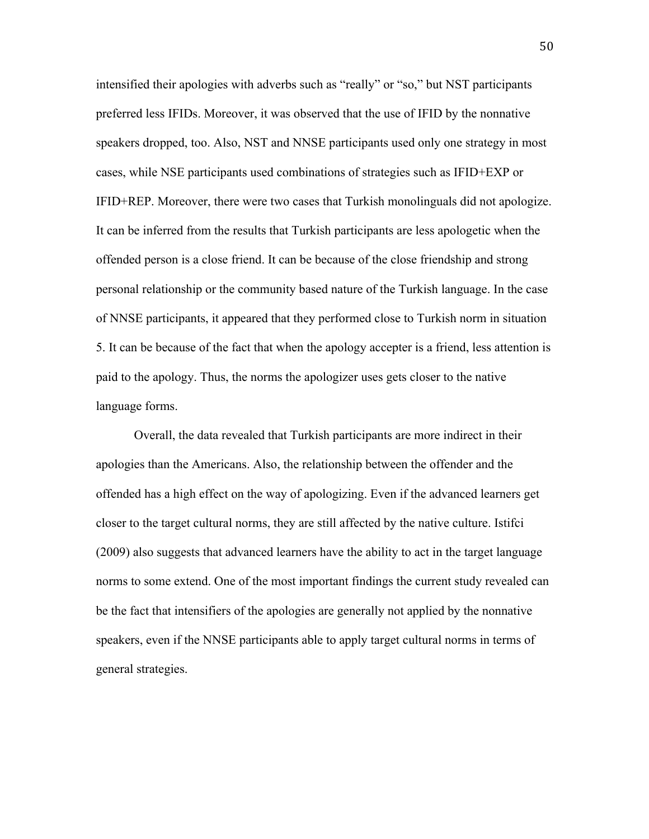intensified their apologies with adverbs such as "really" or "so," but NST participants preferred less IFIDs. Moreover, it was observed that the use of IFID by the nonnative speakers dropped, too. Also, NST and NNSE participants used only one strategy in most cases, while NSE participants used combinations of strategies such as IFID+EXP or IFID+REP. Moreover, there were two cases that Turkish monolinguals did not apologize. It can be inferred from the results that Turkish participants are less apologetic when the offended person is a close friend. It can be because of the close friendship and strong personal relationship or the community based nature of the Turkish language. In the case of NNSE participants, it appeared that they performed close to Turkish norm in situation 5. It can be because of the fact that when the apology accepter is a friend, less attention is paid to the apology. Thus, the norms the apologizer uses gets closer to the native language forms.

Overall, the data revealed that Turkish participants are more indirect in their apologies than the Americans. Also, the relationship between the offender and the offended has a high effect on the way of apologizing. Even if the advanced learners get closer to the target cultural norms, they are still affected by the native culture. Istifci (2009) also suggests that advanced learners have the ability to act in the target language norms to some extend. One of the most important findings the current study revealed can be the fact that intensifiers of the apologies are generally not applied by the nonnative speakers, even if the NNSE participants able to apply target cultural norms in terms of general strategies.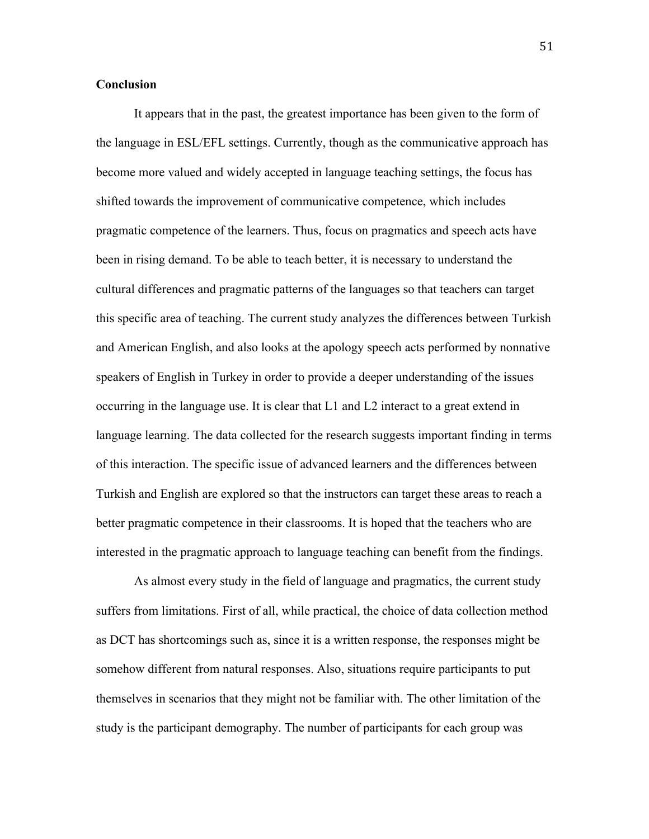#### **Conclusion**

It appears that in the past, the greatest importance has been given to the form of the language in ESL/EFL settings. Currently, though as the communicative approach has become more valued and widely accepted in language teaching settings, the focus has shifted towards the improvement of communicative competence, which includes pragmatic competence of the learners. Thus, focus on pragmatics and speech acts have been in rising demand. To be able to teach better, it is necessary to understand the cultural differences and pragmatic patterns of the languages so that teachers can target this specific area of teaching. The current study analyzes the differences between Turkish and American English, and also looks at the apology speech acts performed by nonnative speakers of English in Turkey in order to provide a deeper understanding of the issues occurring in the language use. It is clear that L1 and L2 interact to a great extend in language learning. The data collected for the research suggests important finding in terms of this interaction. The specific issue of advanced learners and the differences between Turkish and English are explored so that the instructors can target these areas to reach a better pragmatic competence in their classrooms. It is hoped that the teachers who are interested in the pragmatic approach to language teaching can benefit from the findings.

As almost every study in the field of language and pragmatics, the current study suffers from limitations. First of all, while practical, the choice of data collection method as DCT has shortcomings such as, since it is a written response, the responses might be somehow different from natural responses. Also, situations require participants to put themselves in scenarios that they might not be familiar with. The other limitation of the study is the participant demography. The number of participants for each group was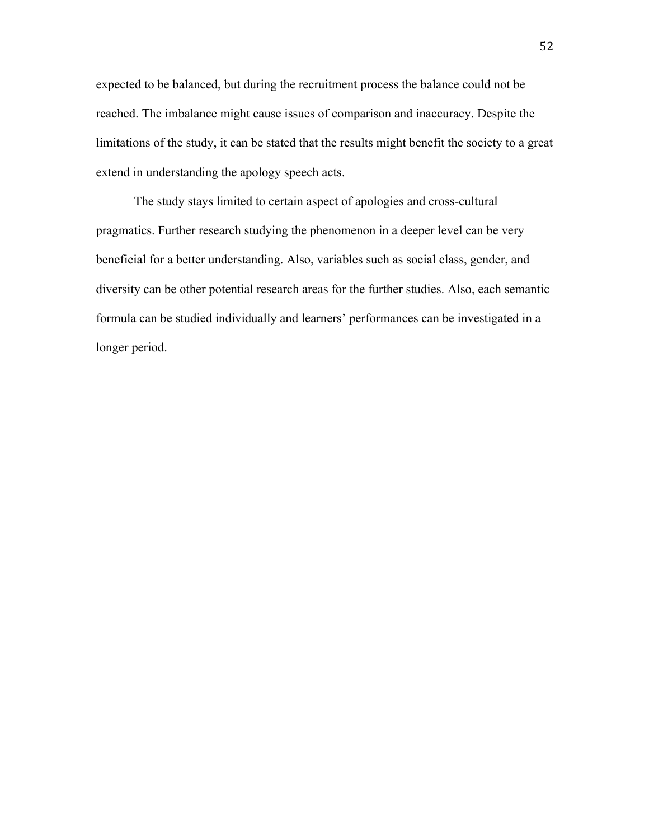expected to be balanced, but during the recruitment process the balance could not be reached. The imbalance might cause issues of comparison and inaccuracy. Despite the limitations of the study, it can be stated that the results might benefit the society to a great extend in understanding the apology speech acts.

The study stays limited to certain aspect of apologies and cross-cultural pragmatics. Further research studying the phenomenon in a deeper level can be very beneficial for a better understanding. Also, variables such as social class, gender, and diversity can be other potential research areas for the further studies. Also, each semantic formula can be studied individually and learners' performances can be investigated in a longer period.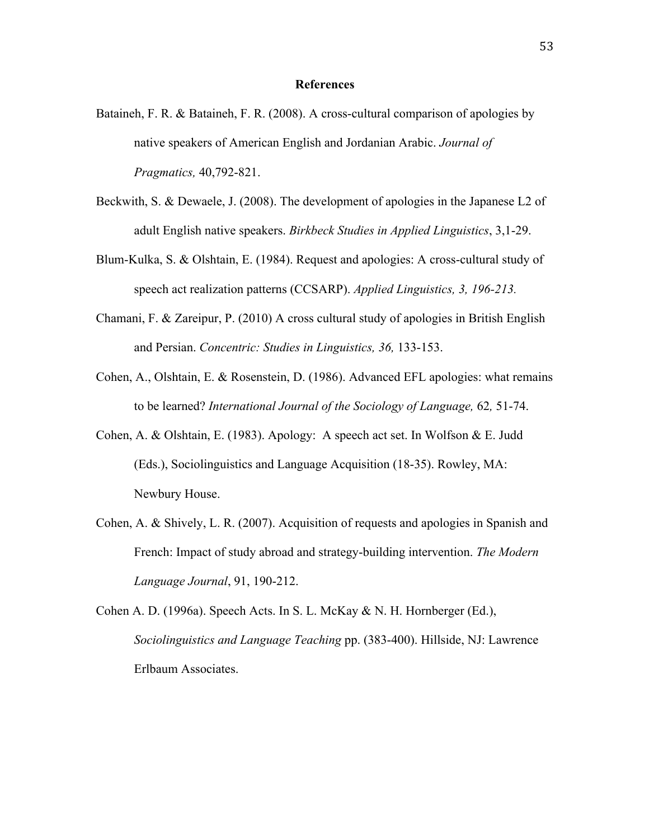#### **References**

- Bataineh, F. R. & Bataineh, F. R. (2008). A cross-cultural comparison of apologies by native speakers of American English and Jordanian Arabic. *Journal of Pragmatics,* 40,792-821.
- Beckwith, S. & Dewaele, J. (2008). The development of apologies in the Japanese L2 of adult English native speakers. *Birkbeck Studies in Applied Linguistics*, 3,1-29.
- Blum-Kulka, S. & Olshtain, E. (1984). Request and apologies: A cross-cultural study of speech act realization patterns (CCSARP). *Applied Linguistics, 3, 196-213.*
- Chamani, F. & Zareipur, P. (2010) A cross cultural study of apologies in British English and Persian. *Concentric: Studies in Linguistics, 36,* 133-153.
- Cohen, A., Olshtain, E. & Rosenstein, D. (1986). Advanced EFL apologies: what remains to be learned? *International Journal of the Sociology of Language,* 62*,* 51-74.
- Cohen, A. & Olshtain, E. (1983). Apology: A speech act set. In Wolfson & E. Judd (Eds.), Sociolinguistics and Language Acquisition (18-35). Rowley, MA: Newbury House.
- Cohen, A. & Shively, L. R. (2007). Acquisition of requests and apologies in Spanish and French: Impact of study abroad and strategy-building intervention. *The Modern Language Journal*, 91, 190-212.
- Cohen A. D. (1996a). Speech Acts. In S. L. McKay & N. H. Hornberger (Ed.), *Sociolinguistics and Language Teaching* pp. (383-400). Hillside, NJ: Lawrence Erlbaum Associates.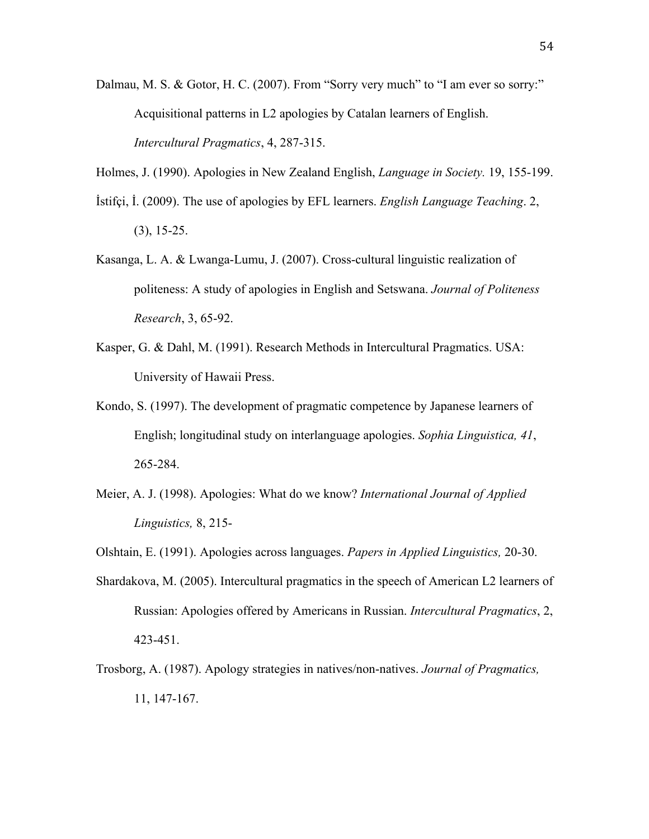- Dalmau, M. S. & Gotor, H. C. (2007). From "Sorry very much" to "I am ever so sorry:" Acquisitional patterns in L2 apologies by Catalan learners of English. *Intercultural Pragmatics*, 4, 287-315.
- Holmes, J. (1990). Apologies in New Zealand English, *Language in Society.* 19, 155-199.
- İstifçi, İ. (2009). The use of apologies by EFL learners. *English Language Teaching*. 2, (3), 15-25.
- Kasanga, L. A. & Lwanga-Lumu, J. (2007). Cross-cultural linguistic realization of politeness: A study of apologies in English and Setswana. *Journal of Politeness Research*, 3, 65-92.
- Kasper, G. & Dahl, M. (1991). Research Methods in Intercultural Pragmatics. USA: University of Hawaii Press.
- Kondo, S. (1997). The development of pragmatic competence by Japanese learners of English; longitudinal study on interlanguage apologies. *Sophia Linguistica, 41*, 265-284.
- Meier, A. J. (1998). Apologies: What do we know? *International Journal of Applied Linguistics,* 8, 215-
- Olshtain, E. (1991). Apologies across languages. *Papers in Applied Linguistics,* 20-30.
- Shardakova, M. (2005). Intercultural pragmatics in the speech of American L2 learners of Russian: Apologies offered by Americans in Russian. *Intercultural Pragmatics*, 2, 423-451.
- Trosborg, A. (1987). Apology strategies in natives/non-natives. *Journal of Pragmatics,* 11, 147-167.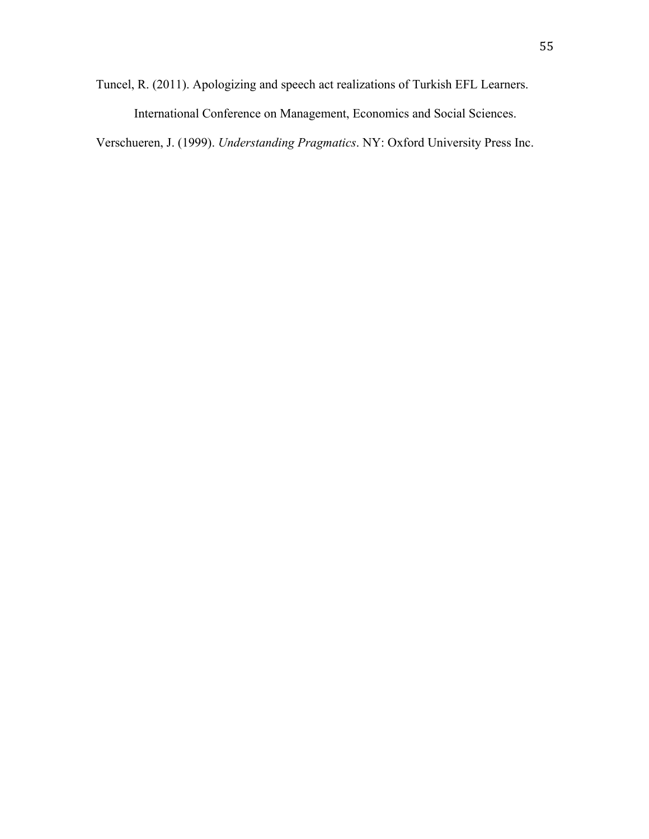Tuncel, R. (2011). Apologizing and speech act realizations of Turkish EFL Learners.

International Conference on Management, Economics and Social Sciences.

Verschueren, J. (1999). *Understanding Pragmatics*. NY: Oxford University Press Inc.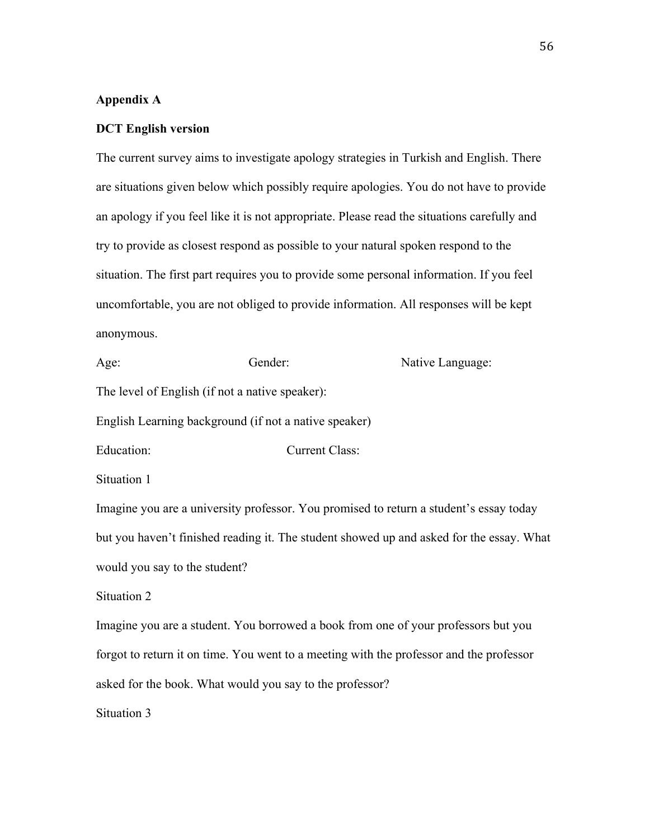#### **Appendix A**

#### **DCT English version**

The current survey aims to investigate apology strategies in Turkish and English. There are situations given below which possibly require apologies. You do not have to provide an apology if you feel like it is not appropriate. Please read the situations carefully and try to provide as closest respond as possible to your natural spoken respond to the situation. The first part requires you to provide some personal information. If you feel uncomfortable, you are not obliged to provide information. All responses will be kept anonymous.

Age: Gender: **Gender:** Native Language: The level of English (if not a native speaker): English Learning background (if not a native speaker) Education: Current Class: Situation 1 Imagine you are a university professor. You promised to return a student's essay today but you haven't finished reading it. The student showed up and asked for the essay. What would you say to the student? Situation 2 Imagine you are a student. You borrowed a book from one of your professors but you forgot to return it on time. You went to a meeting with the professor and the professor asked for the book. What would you say to the professor? Situation 3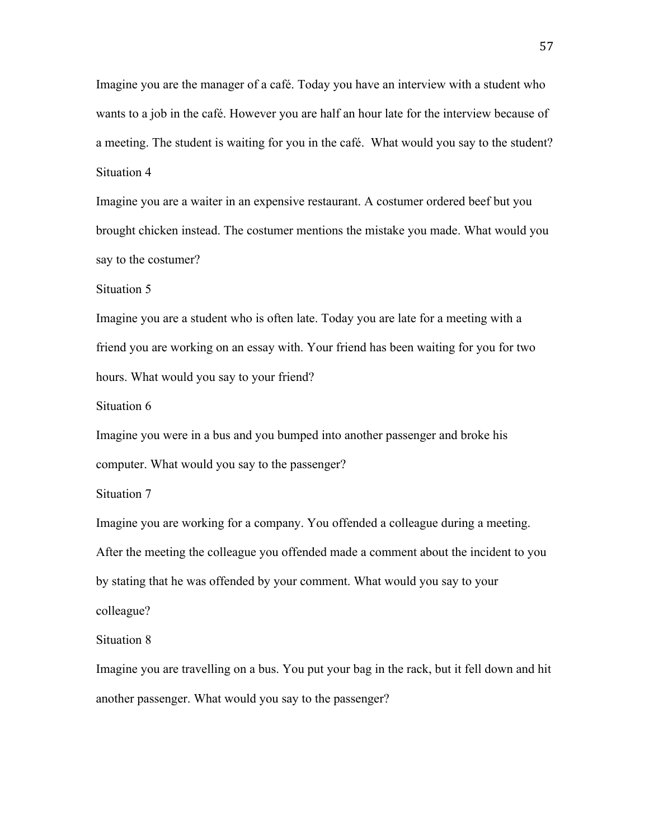Imagine you are the manager of a café. Today you have an interview with a student who wants to a job in the café. However you are half an hour late for the interview because of a meeting. The student is waiting for you in the café. What would you say to the student? Situation 4

Imagine you are a waiter in an expensive restaurant. A costumer ordered beef but you brought chicken instead. The costumer mentions the mistake you made. What would you say to the costumer?

Situation 5

Imagine you are a student who is often late. Today you are late for a meeting with a friend you are working on an essay with. Your friend has been waiting for you for two hours. What would you say to your friend?

Situation 6

Imagine you were in a bus and you bumped into another passenger and broke his computer. What would you say to the passenger?

Situation 7

Imagine you are working for a company. You offended a colleague during a meeting. After the meeting the colleague you offended made a comment about the incident to you by stating that he was offended by your comment. What would you say to your colleague?

Situation 8

Imagine you are travelling on a bus. You put your bag in the rack, but it fell down and hit another passenger. What would you say to the passenger?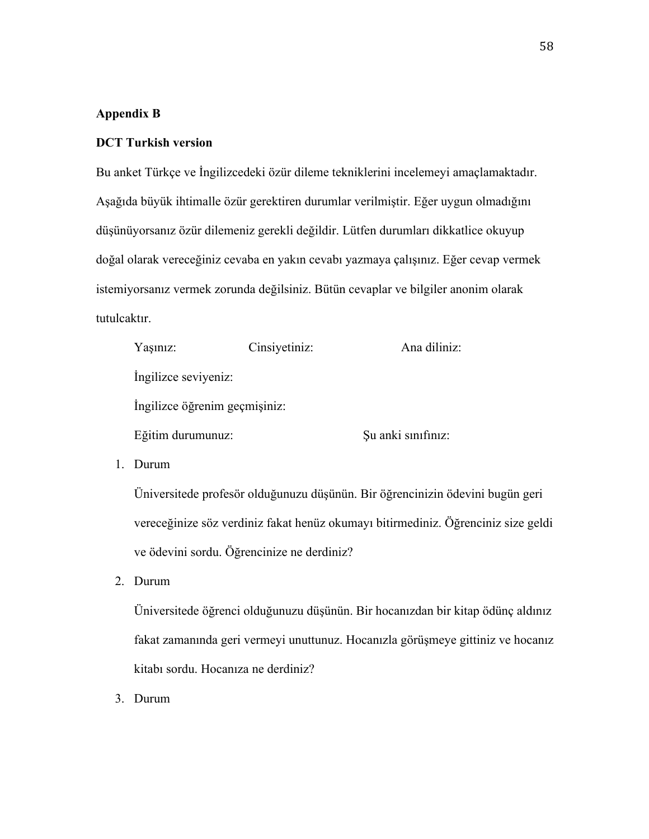#### **Appendix B**

#### **DCT Turkish version**

Bu anket Türkçe ve İngilizcedeki özür dileme tekniklerini incelemeyi amaçlamaktadır. Aşağıda büyük ihtimalle özür gerektiren durumlar verilmiştir. Eğer uygun olmadığını düşünüyorsanız özür dilemeniz gerekli değildir. Lütfen durumları dikkatlice okuyup doğal olarak vereceğiniz cevaba en yakın cevabı yazmaya çalışınız. Eğer cevap vermek istemiyorsanız vermek zorunda değilsiniz. Bütün cevaplar ve bilgiler anonim olarak tutulcaktır.

| Yaşınız:                      | Cinsiyetiniz: | Ana diliniz:       |
|-------------------------------|---------------|--------------------|
| Ingilizce seviyeniz:          |               |                    |
| Ingilizce öğrenim geçmişiniz: |               |                    |
| Eğitim durumunuz:             |               | Şu anki sınıfınız: |

1. Durum

Üniversitede profesör olduğunuzu düşünün. Bir öğrencinizin ödevini bugün geri vereceğinize söz verdiniz fakat henüz okumayı bitirmediniz. Öğrenciniz size geldi ve ödevini sordu. Öğrencinize ne derdiniz?

2. Durum

Üniversitede öğrenci olduğunuzu düşünün. Bir hocanızdan bir kitap ödünç aldınız fakat zamanında geri vermeyi unuttunuz. Hocanızla görüşmeye gittiniz ve hocanız kitabı sordu. Hocanıza ne derdiniz?

3. Durum